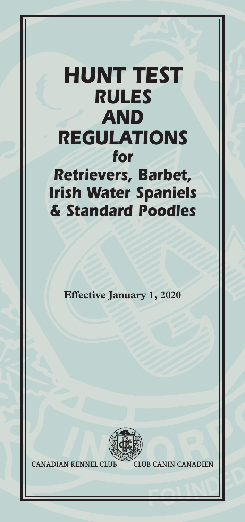# *HUNT TEST RULES AND REGULATIONS for Retrievers, Barbet, Irish Water Spaniels & Standard Poodles*

**Effective January 1, 2020**



**CANADIAN KENNEL CLUB CLUB CANIN CANADIEN**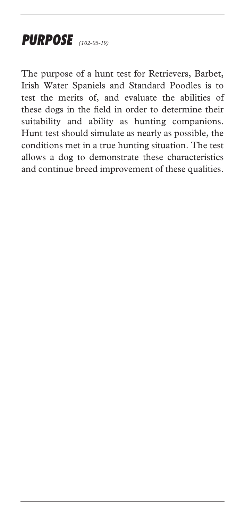## *PURPOSE (102-05-19)*

The purpose of a hunt test for Retrievers, Barbet, Irish Water Spaniels and Standard Poodles is to test the merits of, and evaluate the abilities of these dogs in the field in order to determine their suitability and ability as hunting companions. Hunt test should simulate as nearly as possible, the conditions met in a true hunting situation. The test allows a dog to demonstrate these characteristics and continue breed improvement of these qualities.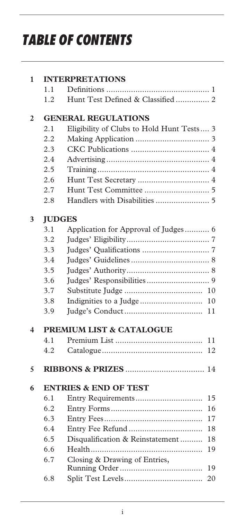# *TABLE OF CONTENTS*

| 1 |               | <b>INTERPRETATIONS</b>                    |
|---|---------------|-------------------------------------------|
|   | 1.1           |                                           |
|   | 1.2           | Hunt Test Defined & Classified  2         |
| 2 |               | <b>GENERAL REGULATIONS</b>                |
|   | 2.1           | Eligibility of Clubs to Hold Hunt Tests 3 |
|   | 2.2           |                                           |
|   | 2.3           |                                           |
|   | 2.4           |                                           |
|   | 2.5           |                                           |
|   | 2.6           |                                           |
|   | 2.7           |                                           |
|   | 2.8           |                                           |
| 3 | <b>JUDGES</b> |                                           |
|   | 3.1           | Application for Approval of Judges 6      |
|   | 3.2           |                                           |
|   | 3.3           |                                           |
|   | 3.4           |                                           |
|   | 3.5           |                                           |
|   | 3.6           |                                           |
|   | 3.7           | 10                                        |
|   | 3.8           | Indignities to a Judge<br>10              |
|   | 3.9           | 11                                        |
| 4 |               | <b>PREMIUM LIST &amp; CATALOGUE</b>       |
|   | 4.1           | 11                                        |
|   | 4.2           | 12                                        |
| 5 |               |                                           |
| 6 |               | <b>ENTRIES &amp; END OF TEST</b>          |
|   | 6.1           | 15                                        |
|   | 6.2           | 16                                        |
|   | 6.3           | 17                                        |
|   | 6.4           | 18                                        |
|   | 6.5           | Disqualification & Reinstatement<br>18    |
|   | 6.6           | 19                                        |
|   | 6.7           | Closing & Drawing of Entries,<br>19       |
|   | 6.8           | 20                                        |
|   |               |                                           |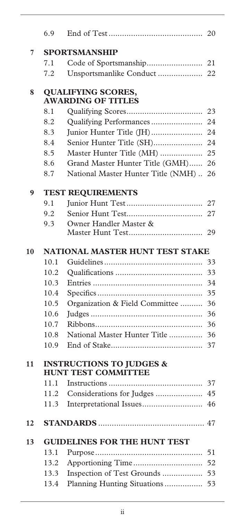|    | 6.9  |                                                                   | 20 |
|----|------|-------------------------------------------------------------------|----|
| 7  |      | <b>SPORTSMANSHIP</b>                                              |    |
|    | 7.1  |                                                                   |    |
|    | 7.2  | Unsportsmanlike Conduct                                           | 22 |
| 8  |      | <b>QUALIFYING SCORES,</b><br><b>AWARDING OF TITLES</b>            |    |
|    | 8.1  |                                                                   | 23 |
|    | 8.2  | Qualifying Performances                                           | 24 |
|    | 8.3  | Junior Hunter Title (JH)                                          | 24 |
|    | 8.4  | Senior Hunter Title (SH)                                          | 24 |
|    | 8.5  | Master Hunter Title (MH)                                          | 25 |
|    | 8.6  | Grand Master Hunter Title (GMH)                                   | 26 |
|    | 8.7  | National Master Hunter Title (NMH)                                | 26 |
| 9  |      | <b>TEST REQUIREMENTS</b>                                          |    |
|    | 9.1  |                                                                   | 27 |
|    | 9.2  |                                                                   | 27 |
|    | 9.3  | Owner Handler Master &                                            |    |
|    |      |                                                                   | 29 |
| 10 |      | NATIONAL MASTER HUNT TEST STAKE                                   |    |
|    | 10.1 |                                                                   | 33 |
|    | 10.2 |                                                                   | 33 |
|    | 10.3 |                                                                   | 34 |
|    | 10.4 |                                                                   | 35 |
|    | 10.5 | Organization & Field Committee                                    | 36 |
|    | 10.6 |                                                                   | 36 |
|    | 10.7 |                                                                   | 36 |
|    | 10.8 | National Master Hunter Title                                      | 36 |
|    | 10.9 |                                                                   | 37 |
| 11 |      | <b>INSTRUCTIONS TO JUDGES &amp;</b><br><b>HUNT TEST COMMITTEE</b> |    |
|    | 11.1 |                                                                   | 37 |
|    | 11.2 | Considerations for Judges                                         | 45 |
|    | 11.3 |                                                                   | 46 |
| 12 |      |                                                                   |    |
| 13 |      | <b>GUIDELINES FOR THE HUNT TEST</b>                               |    |
|    | 13.1 |                                                                   | 51 |
|    | 13.2 |                                                                   | 52 |
|    | 13.3 | Inspection of Test Grounds                                        | 53 |
|    | 13.4 | Planning Hunting Situations                                       | 53 |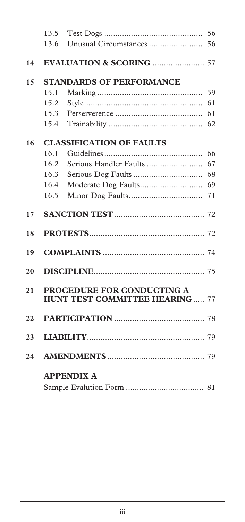|    | 13.5 |                                       |    |
|----|------|---------------------------------------|----|
|    | 13.6 |                                       |    |
|    |      |                                       |    |
| 14 |      |                                       |    |
| 15 |      | <b>STANDARDS OF PERFORMANCE</b>       |    |
|    | 15.1 |                                       | 59 |
|    | 15.2 |                                       | 61 |
|    | 15.3 |                                       | 61 |
|    | 15.4 |                                       | 62 |
| 16 |      | <b>CLASSIFICATION OF FAULTS</b>       |    |
|    | 16.1 |                                       | 66 |
|    | 16.2 |                                       | 67 |
|    | 16.3 |                                       | 68 |
|    | 16.4 |                                       | 69 |
|    | 16.5 |                                       | 71 |
| 17 |      |                                       |    |
| 18 |      |                                       |    |
|    |      |                                       |    |
| 19 |      |                                       |    |
| 20 |      |                                       |    |
| 21 |      | PROCEDURE FOR CONDUCTING A            |    |
|    |      | <b>HUNT TEST COMMITTEE HEARING 77</b> |    |
| 22 |      |                                       |    |
| 23 |      |                                       |    |
| 24 |      |                                       |    |
|    |      | <b>APPENDIX A</b>                     |    |
|    |      |                                       |    |
|    |      |                                       |    |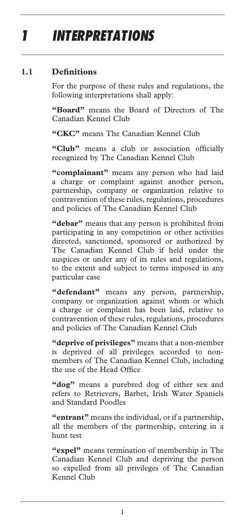# *1 INTERPRETATIONS*

#### **1.1 Definitions**

For the purpose of these rules and regulations, the following interpretations shall apply:

**"Board"** means the Board of Directors of The Canadian Kennel Club

**"CKC"** means The Canadian Kennel Club

**"Club"** means a club or association officially recognized by The Canadian Kennel Club

**"complainant"** means any person who had laid a charge or complaint against another person, partnership, company or organization relative to contravention of these rules, regulations, procedures and policies of The Canadian Kennel Club

**"debar"** means that any person is prohibited from participating in any competition or other activities directed, sanctioned, sponsored or authorized by The Canadian Kennel Club if held under the auspices or under any of its rules and regulations, to the extent and subject to terms imposed in any particular case

**"defendant"** means any person, partnership, company or organization against whom or which a charge or complaint has been laid, relative to contravention of these rules, regulations, procedures and policies of The Canadian Kennel Club

**"deprive of privileges"** means that a non-member is deprived of all privileges accorded to nonmembers of The Canadian Kennel Club, including the use of the Head Office

**"dog"** means a purebred dog of either sex and refers to Retrievers, Barbet, Irish Water Spaniels and Standard Poodles

**"entrant"** means the individual, or if a partnership, all the members of the partnership, entering in a hunt test

**"expel"** means termination of membership in The Canadian Kennel Club and depriving the person so expelled from all privileges of The Canadian Kennel Club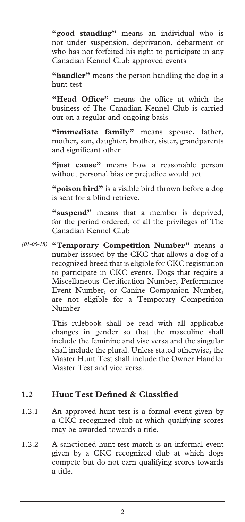**"good standing"** means an individual who is not under suspension, deprivation, debarment or who has not forfeited his right to participate in any Canadian Kennel Club approved events

**"handler"** means the person handling the dog in a hunt test

**"Head Office"** means the office at which the business of The Canadian Kennel Club is carried out on a regular and ongoing basis

"immediate family" means spouse, father, mother, son, daughter, brother, sister, grandparents and significant other

**"just cause"** means how a reasonable person without personal bias or prejudice would act

**"poison bird"** is a visible bird thrown before a dog is sent for a blind retrieve.

**"suspend"** means that a member is deprived, for the period ordered, of all the privileges of The Canadian Kennel Club

**"Temporary Competition Number"** means a *(01-05-18)* number isssued by the CKC that allows a dog of a recognized breed that is eligible for CKC registration to participate in CKC events. Dogs that require a Miscellaneous Certification Number, Performance Event Number, or Canine Companion Number, are not eligible for a Temporary Competition Number

> This rulebook shall be read with all applicable changes in gender so that the masculine shall include the feminine and vise versa and the singular shall include the plural. Unless stated otherwise, the Master Hunt Test shall include the Owner Handler Master Test and vice versa.

#### **1.2 Hunt Test Defined & Classified**

- 1.2.1 An approved hunt test is a formal event given by a CKC recognized club at which qualifying scores may be awarded towards a title.
- 1.2.2 A sanctioned hunt test match is an informal event given by a CKC recognized club at which dogs compete but do not earn qualifying scores towards a title.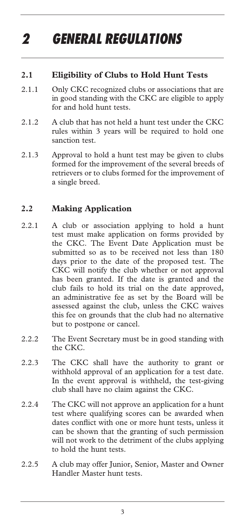# *2 GENERAL REGULATIONS*

## **2.1 Eligibility of Clubs to Hold Hunt Tests**

- 2.1.1 Only CKC recognized clubs or associations that are in good standing with the CKC are eligible to apply for and hold hunt tests.
- 2.1.2 A club that has not held a hunt test under the CKC rules within 3 years will be required to hold one sanction test.
- 2.1.3 Approval to hold a hunt test may be given to clubs formed for the improvement of the several breeds of retrievers or to clubs formed for the improvement of a single breed.

## **2.2 Making Application**

- 2.2.1 A club or association applying to hold a hunt test must make application on forms provided by the CKC. The Event Date Application must be submitted so as to be received not less than 180 days prior to the date of the proposed test. The CKC will notify the club whether or not approval has been granted. If the date is granted and the club fails to hold its trial on the date approved, an administrative fee as set by the Board will be assessed against the club, unless the CKC waives this fee on grounds that the club had no alternative but to postpone or cancel.
- 2.2.2 The Event Secretary must be in good standing with the CKC.
- 2.2.3 The CKC shall have the authority to grant or withhold approval of an application for a test date. In the event approval is withheld, the test-giving club shall have no claim against the CKC.
- 2.2.4 The CKC will not approve an application for a hunt test where qualifying scores can be awarded when dates conflict with one or more hunt tests, unless it can be shown that the granting of such permission will not work to the detriment of the clubs applying to hold the hunt tests.
- 2.2.5 A club may offer Junior, Senior, Master and Owner Handler Master hunt tests.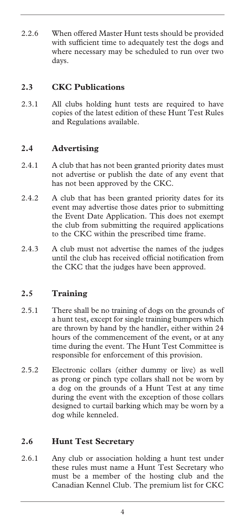2.2.6 When offered Master Hunt tests should be provided with sufficient time to adequately test the dogs and where necessary may be scheduled to run over two days.

## **2.3 CKC Publications**

2.3.1 All clubs holding hunt tests are required to have copies of the latest edition of these Hunt Test Rules and Regulations available.

## **2.4 Advertising**

- 2.4.1 A club that has not been granted priority dates must not advertise or publish the date of any event that has not been approved by the CKC.
- 2.4.2 A club that has been granted priority dates for its event may advertise those dates prior to submitting the Event Date Application. This does not exempt the club from submitting the required applications to the CKC within the prescribed time frame.
- 2.4.3 A club must not advertise the names of the judges until the club has received official notification from the CKC that the judges have been approved.

## **2.5 Training**

- 2.5.1 There shall be no training of dogs on the grounds of a hunt test, except for single training bumpers which are thrown by hand by the handler, either within 24 hours of the commencement of the event, or at any time during the event. The Hunt Test Committee is responsible for enforcement of this provision.
- 2.5.2 Electronic collars (either dummy or live) as well as prong or pinch type collars shall not be worn by a dog on the grounds of a Hunt Test at any time during the event with the exception of those collars designed to curtail barking which may be worn by a dog while kenneled.

## **2.6 Hunt Test Secretary**

2.6.1 Any club or association holding a hunt test under these rules must name a Hunt Test Secretary who must be a member of the hosting club and the Canadian Kennel Club. The premium list for CKC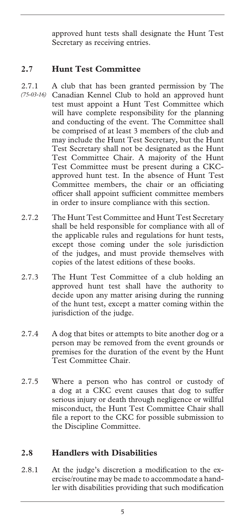approved hunt tests shall designate the Hunt Test Secretary as receiving entries.

## **2.7 Hunt Test Committee**

- 2.7.1 A club that has been granted permission by The Canadian Kennel Club to hold an approved hunt test must appoint a Hunt Test Committee which will have complete responsibility for the planning and conducting of the event. The Committee shall be comprised of at least 3 members of the club and may include the Hunt Test Secretary, but the Hunt Test Secretary shall not be designated as the Hunt Test Committee Chair. A majority of the Hunt Test Committee must be present during a CKCapproved hunt test. In the absence of Hunt Test Committee members, the chair or an officiating officer shall appoint sufficient committee members in order to insure compliance with this section. *(75-03-16)*
- 2.7.2 The Hunt Test Committee and Hunt Test Secretary shall be held responsible for compliance with all of the applicable rules and regulations for hunt tests, except those coming under the sole jurisdiction of the judges, and must provide themselves with copies of the latest editions of these books.
- 2.7.3 The Hunt Test Committee of a club holding an approved hunt test shall have the authority to decide upon any matter arising during the running of the hunt test, except a matter coming within the jurisdiction of the judge.
- 2.7.4 A dog that bites or attempts to bite another dog or a person may be removed from the event grounds or premises for the duration of the event by the Hunt Test Committee Chair.
- 2.7.5 Where a person who has control or custody of a dog at a CKC event causes that dog to suffer serious injury or death through negligence or willful misconduct, the Hunt Test Committee Chair shall file a report to the CKC for possible submission to the Discipline Committee.

## **2.8 Handlers with Disabilities**

2.8.1 At the judge's discretion a modification to the exercise/routine may be made to accommodate a handler with disabilities providing that such modification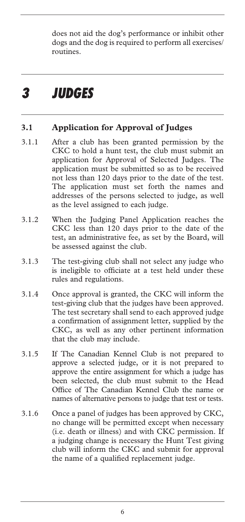does not aid the dog's performance or inhibit other dogs and the dog is required to perform all exercises/ routines.

## *3 JUDGES*

## **3.1 Application for Approval of Judges**

- 3.1.1 After a club has been granted permission by the CKC to hold a hunt test, the club must submit an application for Approval of Selected Judges. The application must be submitted so as to be received not less than 120 days prior to the date of the test. The application must set forth the names and addresses of the persons selected to judge, as well as the level assigned to each judge.
- 3.1.2 When the Judging Panel Application reaches the CKC less than 120 days prior to the date of the test, an administrative fee, as set by the Board, will be assessed against the club.
- 3.1.3 The test-giving club shall not select any judge who is ineligible to officiate at a test held under these rules and regulations.
- 3.1.4 Once approval is granted, the CKC will inform the test-giving club that the judges have been approved. The test secretary shall send to each approved judge a confirmation of assignment letter, supplied by the CKC, as well as any other pertinent information that the club may include.
- 3.1.5 If The Canadian Kennel Club is not prepared to approve a selected judge, or it is not prepared to approve the entire assignment for which a judge has been selected, the club must submit to the Head Office of The Canadian Kennel Club the name or names of alternative persons to judge that test or tests.
- 3.1.6 Once a panel of judges has been approved by CKC, no change will be permitted except when necessary (i.e. death or illness) and with CKC permission. If a judging change is necessary the Hunt Test giving club will inform the CKC and submit for approval the name of a qualified replacement judge.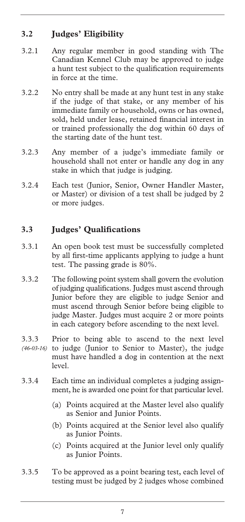## **3.2 Judges' Eligibility**

- 3.2.1 Any regular member in good standing with The Canadian Kennel Club may be approved to judge a hunt test subject to the qualification requirements in force at the time.
- 3.2.2 No entry shall be made at any hunt test in any stake if the judge of that stake, or any member of his immediate family or household, owns or has owned, sold, held under lease, retained financial interest in or trained professionally the dog within 60 days of the starting date of the hunt test.
- 3.2.3 Any member of a judge's immediate family or household shall not enter or handle any dog in any stake in which that judge is judging.
- 3.2.4 Each test (Junior, Senior, Owner Handler Master, or Master) or division of a test shall be judged by 2 or more judges.

## **3.3 Judges' Qualifications**

- 3.3.1 An open book test must be successfully completed by all first-time applicants applying to judge a hunt test. The passing grade is 80%.
- 3.3.2 The following point system shall govern the evolution of judging qualifications. Judges must ascend through Junior before they are eligible to judge Senior and must ascend through Senior before being eligible to judge Master. Judges must acquire 2 or more points in each category before ascending to the next level.
- 3.3.3 Prior to being able to ascend to the next level (46-03-16) to judge (Junior to Senior to Master), the judge must have handled a dog in contention at the next level.
- 3.3.4 Each time an individual completes a judging assignment, he is awarded one point for that particular level.
	- (a) Points acquired at the Master level also qualify as Senior and Junior Points.
	- (b) Points acquired at the Senior level also qualify as Junior Points.
	- (c) Points acquired at the Junior level only qualify as Junior Points.
- 3.3.5 To be approved as a point bearing test, each level of testing must be judged by 2 judges whose combined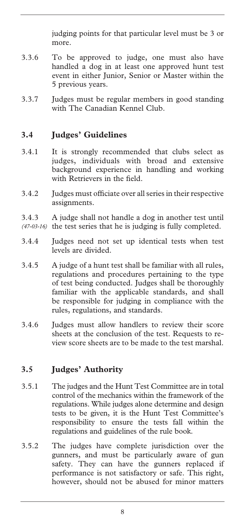judging points for that particular level must be 3 or more.

- 3.3.6 To be approved to judge, one must also have handled a dog in at least one approved hunt test event in either Junior, Senior or Master within the 5 previous years.
- 3.3.7 Judges must be regular members in good standing with The Canadian Kennel Club.

### **3.4 Judges' Guidelines**

- 3.4.1 It is strongly recommended that clubs select as judges, individuals with broad and extensive background experience in handling and working with Retrievers in the field.
- 3.4.2 Judges must officiate over all series in their respective assignments.
- 3.4.3 A judge shall not handle a dog in another test until (47-03-16) the test series that he is judging is fully completed.
- 3.4.4 Judges need not set up identical tests when test levels are divided.
- 3.4.5 A judge of a hunt test shall be familiar with all rules, regulations and procedures pertaining to the type of test being conducted. Judges shall be thoroughly familiar with the applicable standards, and shall be responsible for judging in compliance with the rules, regulations, and standards.
- 3.4.6 Judges must allow handlers to review their score sheets at the conclusion of the test. Requests to review score sheets are to be made to the test marshal.

#### **3.5 Judges' Authority**

- 3.5.1 The judges and the Hunt Test Committee are in total control of the mechanics within the framework of the regulations. While judges alone determine and design tests to be given, it is the Hunt Test Committee's responsibility to ensure the tests fall within the regulations and guidelines of the rule book.
- 3.5.2 The judges have complete jurisdiction over the gunners, and must be particularly aware of gun safety. They can have the gunners replaced if performance is not satisfactory or safe. This right, however, should not be abused for minor matters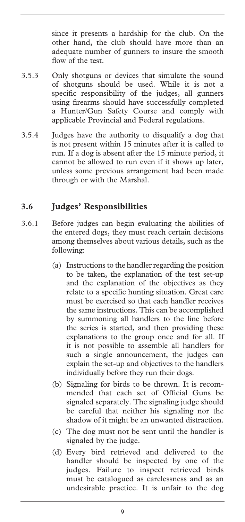since it presents a hardship for the club. On the other hand, the club should have more than an adequate number of gunners to insure the smooth flow of the test.

- 3.5.3 Only shotguns or devices that simulate the sound of shotguns should be used. While it is not a specific responsibility of the judges, all gunners using firearms should have successfully completed a Hunter/Gun Safety Course and comply with applicable Provincial and Federal regulations.
- 3.5.4 Judges have the authority to disqualify a dog that is not present within 15 minutes after it is called to run. If a dog is absent after the 15 minute period, it cannot be allowed to run even if it shows up later, unless some previous arrangement had been made through or with the Marshal.

### **3.6 Judges' Responsibilities**

- 3.6.1 Before judges can begin evaluating the abilities of the entered dogs, they must reach certain decisions among themselves about various details, such as the following:
	- (a) Instructions to the handler regarding the position to be taken, the explanation of the test set-up and the explanation of the objectives as they relate to a specific hunting situation. Great care must be exercised so that each handler receives the same instructions. This can be accomplished by summoning all handlers to the line before the series is started, and then providing these explanations to the group once and for all. If it is not possible to assemble all handlers for such a single announcement, the judges can explain the set-up and objectives to the handlers individually before they run their dogs.
	- (b) Signaling for birds to be thrown. It is recommended that each set of Official Guns be signaled separately. The signaling judge should be careful that neither his signaling nor the shadow of it might be an unwanted distraction.
	- (c) The dog must not be sent until the handler is signaled by the judge.
	- (d) Every bird retrieved and delivered to the handler should be inspected by one of the judges. Failure to inspect retrieved birds must be catalogued as carelessness and as an undesirable practice. It is unfair to the dog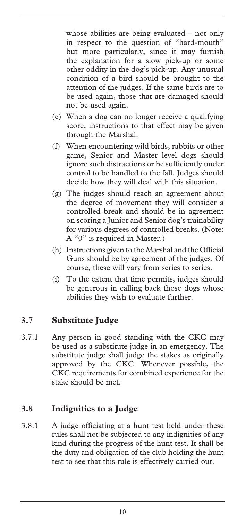whose abilities are being evaluated – not only in respect to the question of "hard-mouth" but more particularly, since it may furnish the explanation for a slow pick-up or some other oddity in the dog's pick-up. Any unusual condition of a bird should be brought to the attention of the judges. If the same birds are to be used again, those that are damaged should not be used again.

- (e) When a dog can no longer receive a qualifying score, instructions to that effect may be given through the Marshal.
- (f) When encountering wild birds, rabbits or other game, Senior and Master level dogs should ignore such distractions or be sufficiently under control to be handled to the fall. Judges should decide how they will deal with this situation.
- (g) The judges should reach an agreement about the degree of movement they will consider a controlled break and should be in agreement on scoring a Junior and Senior dog's trainability for various degrees of controlled breaks. (Note: A "0" is required in Master.)
- (h) Instructions given to the Marshal and the Official Guns should be by agreement of the judges. Of course, these will vary from series to series.
- (i) To the extent that time permits, judges should be generous in calling back those dogs whose abilities they wish to evaluate further.

## **3.7 Substitute Judge**

3.7.1 Any person in good standing with the CKC may be used as a substitute judge in an emergency. The substitute judge shall judge the stakes as originally approved by the CKC. Whenever possible, the CKC requirements for combined experience for the stake should be met.

#### **3.8 Indignities to a Judge**

3.8.1 A judge officiating at a hunt test held under these rules shall not be subjected to any indignities of any kind during the progress of the hunt test. It shall be the duty and obligation of the club holding the hunt test to see that this rule is effectively carried out.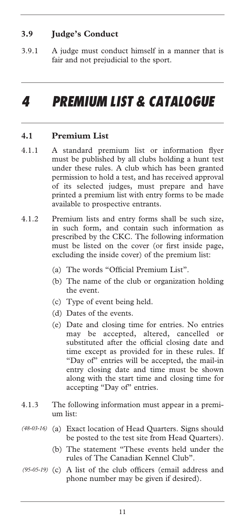## **3.9 Judge's Conduct**

3.9.1 A judge must conduct himself in a manner that is fair and not prejudicial to the sport.

## *4 PREMIUM LIST & CATALOGUE*

#### **4.1 Premium List**

- 4.1.1 A standard premium list or information flyer must be published by all clubs holding a hunt test under these rules. A club which has been granted permission to hold a test, and has received approval of its selected judges, must prepare and have printed a premium list with entry forms to be made available to prospective entrants.
- 4.1.2 Premium lists and entry forms shall be such size, in such form, and contain such information as prescribed by the CKC. The following information must be listed on the cover (or first inside page, excluding the inside cover) of the premium list:
	- (a) The words "Official Premium List".
	- (b) The name of the club or organization holding the event.
	- (c) Type of event being held.
	- (d) Dates of the events.
	- (e) Date and closing time for entries. No entries may be accepted, altered, cancelled or substituted after the official closing date and time except as provided for in these rules. If "Day of" entries will be accepted, the mail-in entry closing date and time must be shown along with the start time and closing time for accepting "Day of" entries.
- 4.1.3 The following information must appear in a premium list:
- (a) Exact location of Head Quarters. Signs should *(48-03-16)*  be posted to the test site from Head Quarters).
	- (b) The statement "These events held under the rules of The Canadian Kennel Club".
- (95-05-19) (c) A list of the club officers (email address and phone number may be given if desired).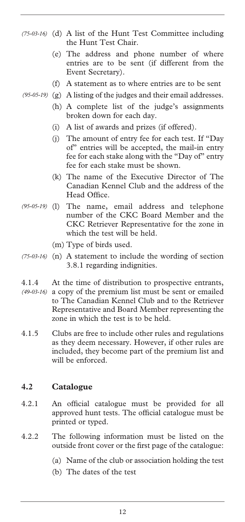- (d) A list of the Hunt Test Committee including *(75-03-16)*  the Hunt Test Chair.
	- (e) The address and phone number of where entries are to be sent (if different from the Event Secretary).
	- (f) A statement as to where entries are to be sent
- (g) A listing of the judges and their email addresses. *(95-05-19)* 
	- (h) A complete list of the judge's assignments broken down for each day.
	- (i) A list of awards and prizes (if offered).
	- (j) The amount of entry fee for each test. If "Day of" entries will be accepted, the mail-in entry fee for each stake along with the "Day of" entry fee for each stake must be shown.
	- (k) The name of the Executive Director of The Canadian Kennel Club and the address of the Head Office.
- The name, email address and telephone number of the CKC Board Member and the CKC Retriever Representative for the zone in which the test will be held. *(95-05-19)* 
	- (m) Type of birds used.
- (75-03-16) (n) A statement to include the wording of section 3.8.1 regarding indignities.
- 4.1.4 At the time of distribution to prospective entrants, a copy of the premium list must be sent or emailed *(49-03-16)* to The Canadian Kennel Club and to the Retriever Representative and Board Member representing the zone in which the test is to be held.
- 4.1.5 Clubs are free to include other rules and regulations as they deem necessary. However, if other rules are included, they become part of the premium list and will be enforced.

#### **4.2 Catalogue**

- 4.2.1 An official catalogue must be provided for all approved hunt tests. The official catalogue must be printed or typed.
- 4.2.2 The following information must be listed on the outside front cover or the first page of the catalogue:
	- (a) Name of the club or association holding the test
	- (b) The dates of the test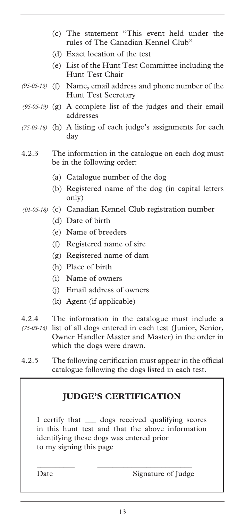- (c) The statement "This event held under the rules of The Canadian Kennel Club"
- (d) Exact location of the test
- (e) List of the Hunt Test Committee including the Hunt Test Chair
- (f) Name, email address and phone number of the *(95-05-19)*  Hunt Test Secretary
- (g) A complete list of the judges and their email *(95-05-19)*  addresses
- (h) A listing of each judge's assignments for each *(75-03-16)*  day
- 4.2.3 The information in the catalogue on each dog must be in the following order:
	- (a) Catalogue number of the dog
	- (b) Registered name of the dog (in capital letters only)
- (c) Canadian Kennel Club registration number *(01-05-18)* 
	- (d) Date of birth
	- (e) Name of breeders
	- (f) Registered name of sire
	- (g) Registered name of dam
	- (h) Place of birth
	- (i) Name of owners
	- (j) Email address of owners
	- (k) Agent (if applicable)
- 4.2.4 The information in the catalogue must include a (75-03-16) list of all dogs entered in each test (Junior, Senior, Owner Handler Master and Master) in the order in which the dogs were drawn.
- 4.2.5 The following certification must appear in the official catalogue following the dogs listed in each test.

#### **JUDGE'S CERTIFICATION**

I certify that \_\_\_ dogs received qualifying scores in this hunt test and that the above information identifying these dogs was entered prior to my signing this page

\_\_\_\_\_\_\_\_\_\_ \_\_\_\_\_\_\_\_\_\_\_\_\_\_\_\_\_\_\_\_\_\_\_\_\_

Date Signature of Judge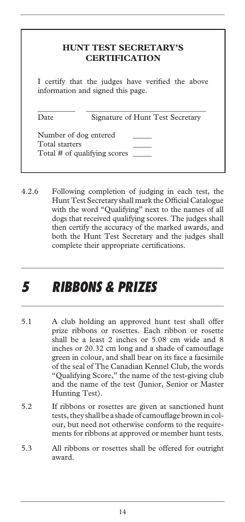|      | I certify that the judges have verified the above |
|------|---------------------------------------------------|
|      | information and signed this page.                 |
|      |                                                   |
|      |                                                   |
| Date | Signature of Hunt Test Secretary                  |

4.2.6 Following completion of judging in each test, the Hunt Test Secretary shall mark the Official Catalogue with the word "Qualifying" next to the names of all dogs that received qualifying scores. The judges shall then certify the accuracy of the marked awards, and both the Hunt Test Secretary and the judges shall complete their appropriate certifications.

## *5 RIBBONS & PRIZES*

- 5.1 A club holding an approved hunt test shall offer prize ribbons or rosettes. Each ribbon or rosette shall be a least 2 inches or 5.08 cm wide and 8 inches or 20.32 cm long and a shade of camouflage green in colour, and shall bear on its face a facsimile of the seal of The Canadian Kennel Club, the words "Qualifying Score," the name of the test-giving club and the name of the test (Junior, Senior or Master Hunting Test).
- 5.2 If ribbons or rosettes are given at sanctioned hunt tests, they shall be a shade of camouflage brown in colour, but need not otherwise conform to the requirements for ribbons at approved or member hunt tests.
- 5.3 All ribbons or rosettes shall be offered for outright award.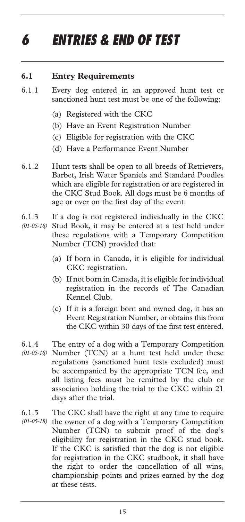# *6 ENTRIES & END OF TEST*

#### **6.1 Entry Requirements**

- 6.1.1 Every dog entered in an approved hunt test or sanctioned hunt test must be one of the following:
	- (a) Registered with the CKC
	- (b) Have an Event Registration Number
	- (c) Eligible for registration with the CKC
	- (d) Have a Performance Event Number
- 6.1.2 Hunt tests shall be open to all breeds of Retrievers, Barbet, Irish Water Spaniels and Standard Poodles which are eligible for registration or are registered in the CKC Stud Book. All dogs must be 6 months of age or over on the first day of the event.
- 6.1.3 If a dog is not registered individually in the CKC
- Stud Book, it may be entered at a test held under *(01-05-18)*  these regulations with a Temporary Competition Number (TCN) provided that:
	- (a) If born in Canada, it is eligible for individual CKC registration.
	- (b) If not born in Canada, it is eligible for individual registration in the records of The Canadian Kennel Club.
	- (c) If it is a foreign born and owned dog, it has an Event Registration Number, or obtains this from the CKC within 30 days of the first test entered.
- 6.1.4 The entry of a dog with a Temporary Competition Number (TCN) at a hunt test held under these *(01-05-18)*  regulations (sanctioned hunt tests excluded) must be accompanied by the appropriate TCN fee, and all listing fees must be remitted by the club or association holding the trial to the CKC within 21 days after the trial.
- 6.1.5 The CKC shall have the right at any time to require (01-05-18) the owner of a dog with a Temporary Competition Number (TCN) to submit proof of the dog's eligibility for registration in the CKC stud book. If the CKC is satisfied that the dog is not eligible for registration in the CKC studbook, it shall have the right to order the cancellation of all wins, championship points and prizes earned by the dog at these tests.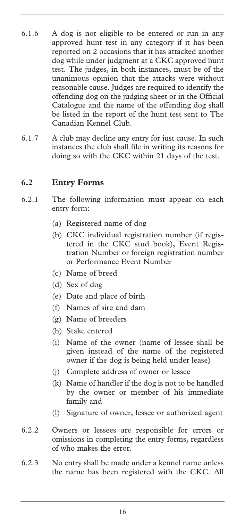- 6.1.6 A dog is not eligible to be entered or run in any approved hunt test in any category if it has been reported on 2 occasions that it has attacked another dog while under judgment at a CKC approved hunt test. The judges, in both instances, must be of the unanimous opinion that the attacks were without reasonable cause. Judges are required to identify the offending dog on the judging sheet or in the Official Catalogue and the name of the offending dog shall be listed in the report of the hunt test sent to The Canadian Kennel Club.
- 6.1.7 A club may decline any entry for just cause. In such instances the club shall file in writing its reasons for doing so with the CKC within 21 days of the test.

#### **6.2 Entry Forms**

- 6.2.1 The following information must appear on each entry form:
	- (a) Registered name of dog
	- (b) CKC individual registration number (if registered in the CKC stud book), Event Registration Number or foreign registration number or Performance Event Number
	- (c) Name of breed
	- (d) Sex of dog
	- (e) Date and place of birth
	- (f) Names of sire and dam
	- (g) Name of breeders
	- (h) Stake entered
	- (i) Name of the owner (name of lessee shall be given instead of the name of the registered owner if the dog is being held under lease)
	- (j) Complete address of owner or lessee
	- (k) Name of handler if the dog is not to be handled by the owner or member of his immediate family and
	- (l) Signature of owner, lessee or authorized agent
- 6.2.2 Owners or lessees are responsible for errors or omissions in completing the entry forms, regardless of who makes the error.
- 6.2.3 No entry shall be made under a kennel name unless the name has been registered with the CKC. All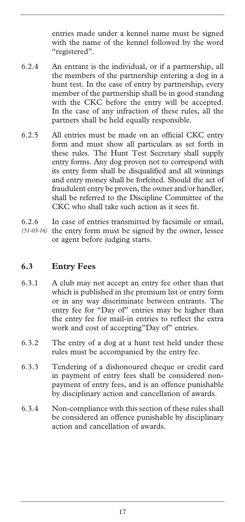entries made under a kennel name must be signed with the name of the kennel followed by the word "registered".

- 6.2.4 An entrant is the individual, or if a partnership, all the members of the partnership entering a dog in a hunt test. In the case of entry by partnership, every member of the partnership shall be in good standing with the CKC before the entry will be accepted. In the case of any infraction of these rules, all the partners shall be held equally responsible.
- 6.2.5 All entries must be made on an official CKC entry form and must show all particulars as set forth in these rules. The Hunt Test Secretary shall supply entry forms. Any dog proven not to correspond with its entry form shall be disqualified and all winnings and entry money shall be forfeited. Should the act of fraudulent entry be proven, the owner and/or handler, shall be referred to the Discipline Committee of the CKC who shall take such action as it sees fit.
- 6.2.6 In case of entries transmitted by facsimile or email, (51-03-16) the entry form must be signed by the owner, lessee or agent before judging starts.

## **6.3 Entry Fees**

- 6.3.1 A club may not accept an entry fee other than that which is published in the premium list or entry form or in any way discriminate between entrants. The entry fee for "Day of" entries may be higher than the entry fee for mail-in entries to reflect the extra work and cost of accepting"Day of" entries.
- 6.3.2 The entry of a dog at a hunt test held under these rules must be accompanied by the entry fee.
- 6.3.3 Tendering of a dishonoured cheque or credit card in payment of entry fees shall be considered nonpayment of entry fees, and is an offence punishable by disciplinary action and cancellation of awards.
- 6.3.4 Non-compliance with this section of these rules shall be considered an offence punishable by disciplinary action and cancellation of awards.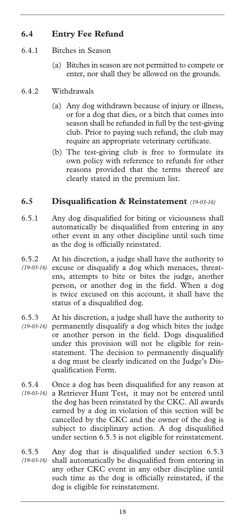## **6.4 Entry Fee Refund**

- 6.4.1 Bitches in Season
	- (a) Bitches in season are not permitted to compete or enter, nor shall they be allowed on the grounds.

#### 6.4.2 Withdrawals

- (a) Any dog withdrawn because of injury or illness, or for a dog that dies, or a bitch that comes into season shall be refunded in full by the test-giving club. Prior to paying such refund, the club may require an appropriate veterinary certificate.
- (b) The test-giving club is free to formulate its own policy with reference to refunds for other reasons provided that the terms thereof are clearly stated in the premium list.

#### **6.5 Disqualification & Reinstatement** *(19-03-16)*

- 6.5.1 Any dog disqualified for biting or viciousness shall automatically be disqualified from entering in any other event in any other discipline until such time as the dog is officially reinstated.
- 6.5.2 At his discretion, a judge shall have the authority to excuse or disqualify a dog which menaces, threat-*(19-03-16)*  ens, attempts to bite or bites the judge, another person, or another dog in the field. When a dog is twice excused on this account, it shall have the status of a disqualified dog.
- 6.5.3 At his discretion, a judge shall have the authority to permanently disqualify a dog which bites the judge *(19-03-16)*  or another person in the field. Dogs disqualified under this provision will not be eligible for reinstatement. The decision to permanently disqualify a dog must be clearly indicated on the Judge's Disqualification Form.
- 6.5.4 Once a dog has been disqualified for any reason at a Retriever Hunt Test, it may not be entered until *(19-03-16)*  the dog has been reinstated by the CKC. All awards earned by a dog in violation of this section will be cancelled by the CKC and the owner of the dog is subject to disciplinary action. A dog disqualified under section 6.5.3 is not eligible for reinstatement.
- 6.5.5 Any dog that is disqualified under section 6.5.3 shall automatically be disqualified from entering in any other CKC event in any other discipline until such time as the dog is officially reinstated, if the dog is eligible for reinstatement. *(19-03-16)*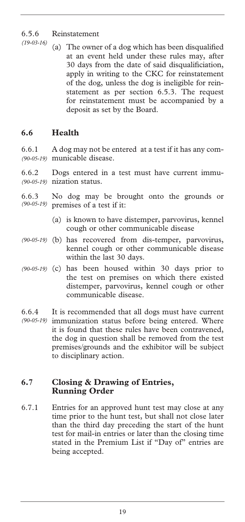## 6.5.6 Reinstatement

(a) The owner of a dog which has been disqualified at an event held under these rules may, after 30 days from the date of said disqualificiation, apply in writing to the CKC for reinstatement of the dog, unless the dog is ineligible for reinstatement as per section 6.5.3. The request for reinstatement must be accompanied by a deposit as set by the Board. *(19-03-16)* 

## **6.6 Health**

6.6.1 A dog may not be entered at a test if it has any communicable disease. *(90-05-19)* 

6.6.2 Dogs entered in a test must have current immu-(90-05-19) nization status.

- 6.6.3 No dog may be brought onto the grounds or premises of a test if it: *(90-05-19)* 
	- (a) is known to have distemper, parvovirus, kennel cough or other communicable disease
- (b) has recovered from dis-temper, parvovirus, *(90-05-19)*  kennel cough or other communicable disease within the last 30 days.
- (90-05-19) (c) has been housed within 30 days prior to the test on premises on which there existed distemper, parvovirus, kennel cough or other communicable disease.
- 6.6.4 It is recommended that all dogs must have current (90-05-19) immunization status before being entered. Where it is found that these rules have been contravened, the dog in question shall be removed from the test premises/grounds and the exhibitor will be subject to disciplinary action.

#### **6.7 Closing & Drawing of Entries, Running Order**

6.7.1 Entries for an approved hunt test may close at any time prior to the hunt test, but shall not close later than the third day preceding the start of the hunt test for mail-in entries or later than the closing time stated in the Premium List if "Day of" entries are being accepted.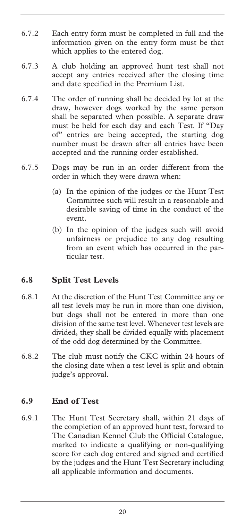- 6.7.2 Each entry form must be completed in full and the information given on the entry form must be that which applies to the entered dog.
- 6.7.3 A club holding an approved hunt test shall not accept any entries received after the closing time and date specified in the Premium List.
- 6.7.4 The order of running shall be decided by lot at the draw, however dogs worked by the same person shall be separated when possible. A separate draw must be held for each day and each Test. If "Day of" entries are being accepted, the starting dog number must be drawn after all entries have been accepted and the running order established.
- 6.7.5 Dogs may be run in an order different from the order in which they were drawn when:
	- (a) In the opinion of the judges or the Hunt Test Committee such will result in a reasonable and desirable saving of time in the conduct of the event.
	- (b) In the opinion of the judges such will avoid unfairness or prejudice to any dog resulting from an event which has occurred in the particular test.

## **6.8 Split Test Levels**

- 6.8.1 At the discretion of the Hunt Test Committee any or all test levels may be run in more than one division, but dogs shall not be entered in more than one division of the same test level. Whenever test levels are divided, they shall be divided equally with placement of the odd dog determined by the Committee.
- 6.8.2 The club must notify the CKC within 24 hours of the closing date when a test level is split and obtain judge's approval.

## **6.9 End of Test**

6.9.1 The Hunt Test Secretary shall, within 21 days of the completion of an approved hunt test, forward to The Canadian Kennel Club the Official Catalogue, marked to indicate a qualifying or non-qualifying score for each dog entered and signed and certified by the judges and the Hunt Test Secretary including all applicable information and documents.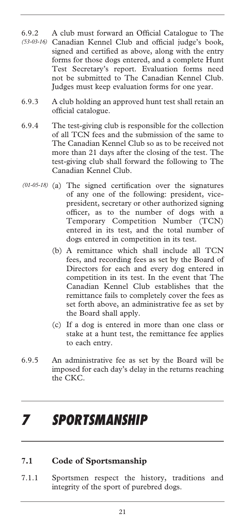- 6.9.2 A club must forward an Official Catalogue to The Canadian Kennel Club and official judge's book, *(53-03-16)*  signed and certified as above, along with the entry forms for those dogs entered, and a complete Hunt Test Secretary's report. Evaluation forms need not be submitted to The Canadian Kennel Club. Judges must keep evaluation forms for one year.
- 6.9.3 A club holding an approved hunt test shall retain an official catalogue.
- 6.9.4 The test-giving club is responsible for the collection of all TCN fees and the submission of the same to The Canadian Kennel Club so as to be received not more than 21 days after the closing of the test. The test-giving club shall forward the following to The Canadian Kennel Club.
- (a) The signed certification over the signatures *(01-05-18)* of any one of the following: president, vicepresident, secretary or other authorized signing officer, as to the number of dogs with a Temporary Competition Number (TCN) entered in its test, and the total number of dogs entered in competition in its test.
	- (b) A remittance which shall include all TCN fees, and recording fees as set by the Board of Directors for each and every dog entered in competition in its test. In the event that The Canadian Kennel Club establishes that the remittance fails to completely cover the fees as set forth above, an administrative fee as set by the Board shall apply.
	- (c) If a dog is entered in more than one class or stake at a hunt test, the remittance fee applies to each entry.
- 6.9.5 An administrative fee as set by the Board will be imposed for each day's delay in the returns reaching the CKC.

## *7 SPORTSMANSHIP*

#### **7.1 Code of Sportsmanship**

7.1.1 Sportsmen respect the history, traditions and integrity of the sport of purebred dogs.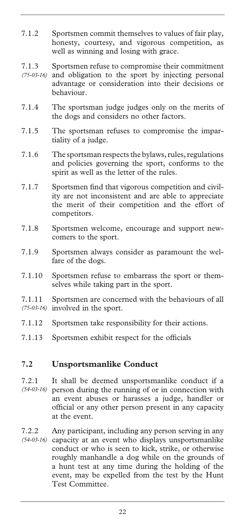- 7.1.2 Sportsmen commit themselves to values of fair play, honesty, courtesy, and vigorous competition, as well as winning and losing with grace.
- 7.1.3 Sportsmen refuse to compromise their commitment and obligation to the sport by injecting personal *(75-03-16)*  advantage or consideration into their decisions or behaviour.
- 7.1.4 The sportsman judge judges only on the merits of the dogs and considers no other factors.
- 7.1.5 The sportsman refuses to compromise the impartiality of a judge.
- 7.1.6 The sportsman respects the bylaws, rules, regulations and policies governing the sport, conforms to the spirit as well as the letter of the rules.
- 7.1.7 Sportsmen find that vigorous competition and civility are not inconsistent and are able to appreciate the merit of their competition and the effort of competitors.
- 7.1.8 Sportsmen welcome, encourage and support newcomers to the sport.
- 7.1.9 Sportsmen always consider as paramount the welfare of the dogs.
- 7.1.10 Sportsmen refuse to embarrass the sport or themselves while taking part in the sport.
- 7.1.11 Sportsmen are concerned with the behaviours of all involved in the sport. *(75-03-16)*
- 7.1.12 Sportsmen take responsibility for their actions.
- 7.1.13 Sportsmen exhibit respect for the officials

#### **7.2 Unsportsmanlike Conduct**

- 7.2.1 It shall be deemed unsportsmanlike conduct if a person during the running of or in connection with *(54-03-16)*  an event abuses or harasses a judge, handler or official or any other person present in any capacity at the event.
- 7.2.2 Any participant, including any person serving in any capacity at an event who displays unsportsmanlike conduct or who is seen to kick, strike, or otherwise roughly manhandle a dog while on the grounds of a hunt test at any time during the holding of the event, may be expelled from the test by the Hunt Test Committee. *(54-03-16)*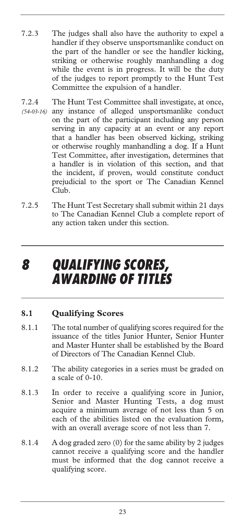- 7.2.3 The judges shall also have the authority to expel a handler if they observe unsportsmanlike conduct on the part of the handler or see the handler kicking, striking or otherwise roughly manhandling a dog while the event is in progress. It will be the duty of the judges to report promptly to the Hunt Test Committee the expulsion of a handler.
- 7.2.4 The Hunt Test Committee shall investigate, at once, (54-03-16) any instance of alleged unsportsmanlike conduct on the part of the participant including any person serving in any capacity at an event or any report that a handler has been observed kicking, striking or otherwise roughly manhandling a dog. If a Hunt Test Committee, after investigation, determines that a handler is in violation of this section, and that the incident, if proven, would constitute conduct prejudicial to the sport or The Canadian Kennel Club.
- 7.2.5 The Hunt Test Secretary shall submit within 21 days to The Canadian Kennel Club a complete report of any action taken under this section.

## *8 QUALIFYING SCORES, AWARDING OF TITLES*

## **8.1 Qualifying Scores**

- 8.1.1 The total number of qualifying scores required for the issuance of the titles Junior Hunter, Senior Hunter and Master Hunter shall be established by the Board of Directors of The Canadian Kennel Club.
- 8.1.2 The ability categories in a series must be graded on a scale of 0-10.
- 8.1.3 In order to receive a qualifying score in Junior, Senior and Master Hunting Tests, a dog must acquire a minimum average of not less than 5 on each of the abilities listed on the evaluation form, with an overall average score of not less than 7.
- 8.1.4 A dog graded zero (0) for the same ability by 2 judges cannot receive a qualifying score and the handler must be informed that the dog cannot receive a qualifying score.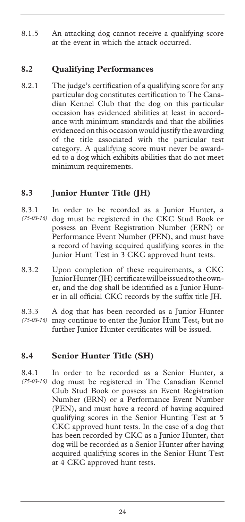8.1.5 An attacking dog cannot receive a qualifying score at the event in which the attack occurred.

### **8.2 Qualifying Performances**

8.2.1 The judge's certification of a qualifying score for any particular dog constitutes certification to The Canadian Kennel Club that the dog on this particular occasion has evidenced abilities at least in accordance with minimum standards and that the abilities evidenced on this occasion would justify the awarding of the title associated with the particular test category. A qualifying score must never be awarded to a dog which exhibits abilities that do not meet minimum requirements.

## **8.3 Junior Hunter Title (JH)**

- 8.3.1 In order to be recorded as a Junior Hunter, a dog must be registered in the CKC Stud Book or possess an Event Registration Number (ERN) or Performance Event Number (PEN), and must have a record of having acquired qualifying scores in the Junior Hunt Test in 3 CKC approved hunt tests. *(75-03-16)*
- 8.3.2 Upon completion of these requirements, a CKC Junior Hunter (JH) certificate will be issued to the owner, and the dog shall be identified as a Junior Hunter in all official CKC records by the suffix title JH.
- 8.3.3 A dog that has been recorded as a Junior Hunter may continue to enter the Junior Hunt Test, but no further Junior Hunter certificates will be issued. *(75-03-16)*

#### **8.4 Senior Hunter Title (SH)**

8.4.1 In order to be recorded as a Senior Hunter, a (75-03-16) dog must be registered in The Canadian Kennel Club Stud Book or possess an Event Registration Number (ERN) or a Performance Event Number (PEN), and must have a record of having acquired qualifying scores in the Senior Hunting Test at 5 CKC approved hunt tests. In the case of a dog that has been recorded by CKC as a Junior Hunter, that dog will be recorded as a Senior Hunter after having acquired qualifying scores in the Senior Hunt Test at 4 CKC approved hunt tests.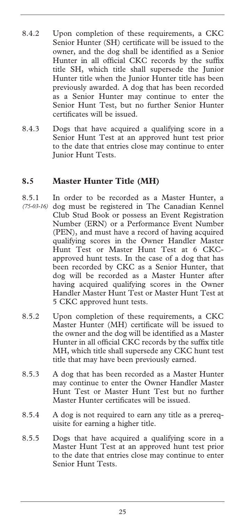- 8.4.2 Upon completion of these requirements, a CKC Senior Hunter (SH) certificate will be issued to the owner, and the dog shall be identified as a Senior Hunter in all official CKC records by the suffix title SH, which title shall supersede the Junior Hunter title when the Junior Hunter title has been previously awarded. A dog that has been recorded as a Senior Hunter may continue to enter the Senior Hunt Test, but no further Senior Hunter certificates will be issued.
- 8.4.3 Dogs that have acquired a qualifying score in a Senior Hunt Test at an approved hunt test prior to the date that entries close may continue to enter Junior Hunt Tests.

#### **8.5 Master Hunter Title (MH)**

- 8.5.1 In order to be recorded as a Master Hunter, a dog must be registered in The Canadian Kennel Club Stud Book or possess an Event Registration Number (ERN) or a Performance Event Number (PEN), and must have a record of having acquired qualifying scores in the Owner Handler Master Hunt Test or Master Hunt Test at 6 CKCapproved hunt tests. In the case of a dog that has been recorded by CKC as a Senior Hunter, that dog will be recorded as a Master Hunter after having acquired qualifying scores in the Owner Handler Master Hunt Test or Master Hunt Test at 5 CKC approved hunt tests. *(75-03-16)*
- 8.5.2 Upon completion of these requirements, a CKC Master Hunter (MH) certificate will be issued to the owner and the dog will be identified as a Master Hunter in all official CKC records by the suffix title MH, which title shall supersede any CKC hunt test title that may have been previously earned.
- 8.5.3 A dog that has been recorded as a Master Hunter may continue to enter the Owner Handler Master Hunt Test or Master Hunt Test but no further Master Hunter certificates will be issued.
- 8.5.4 A dog is not required to earn any title as a prerequisite for earning a higher title.
- 8.5.5 Dogs that have acquired a qualifying score in a Master Hunt Test at an approved hunt test prior to the date that entries close may continue to enter Senior Hunt Tests.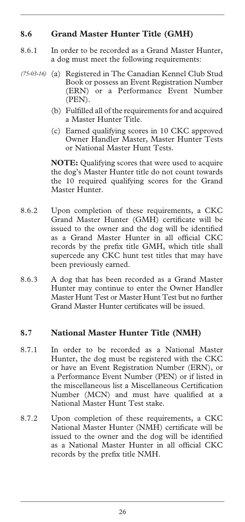### **8.6 Grand Master Hunter Title (GMH)**

- 8.6.1 In order to be recorded as a Grand Master Hunter, a dog must meet the following requirements:
- (75-03-16) (a) Registered in The Canadian Kennel Club Stud Book or possess an Event Registration Number (ERN) or a Performance Event Number (PEN).
	- (b) Fulfilled all of the requirements for and acquired a Master Hunter Title.
	- (c) Earned qualifying scores in 10 CKC approved Owner Handler Master, Master Hunter Tests or National Master Hunt Tests.

**NOTE:** Qualifying scores that were used to acquire the dog's Master Hunter title do not count towards the 10 required qualifying scores for the Grand Master Hunter.

- 8.6.2 Upon completion of these requirements, a CKC Grand Master Hunter (GMH) certificate will be issued to the owner and the dog will be identified as a Grand Master Hunter in all official CKC records by the prefix title GMH, which title shall supercede any CKC hunt test titles that may have been previously earned.
- 8.6.3 A dog that has been recorded as a Grand Master Hunter may continue to enter the Owner Handler Master Hunt Test or Master Hunt Test but no further Grand Master Hunter certificates will be issued.

#### **8.7 National Master Hunter Title (NMH)**

- 8.7.1 In order to be recorded as a National Master Hunter, the dog must be registered with the CKC or have an Event Registration Number (ERN), or a Performance Event Number (PEN) or if listed in the miscellaneous list a Miscellaneous Certification Number (MCN) and must have qualified at a National Master Hunt Test stake.
- 8.7.2 Upon completion of these requirements, a CKC National Master Hunter (NMH) certificate will be issued to the owner and the dog will be identified as a National Master Hunter in all official CKC records by the prefix title NMH.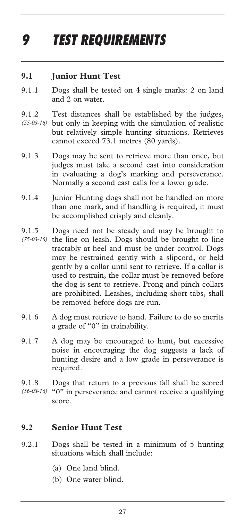# *9 TEST REQUIREMENTS*

#### **9.1 Junior Hunt Test**

- 9.1.1 Dogs shall be tested on 4 single marks: 2 on land and 2 on water.
- 9.1.2 Test distances shall be established by the judges, but only in keeping with the simulation of realistic *(55-03-16)*  but relatively simple hunting situations. Retrieves cannot exceed 73.1 metres (80 yards).
- 9.1.3 Dogs may be sent to retrieve more than once, but judges must take a second cast into consideration in evaluating a dog's marking and perseverance. Normally a second cast calls for a lower grade.
- 9.1.4 Junior Hunting dogs shall not be handled on more than one mark, and if handling is required, it must be accomplished crisply and cleanly.
- 9.1.5 Dogs need not be steady and may be brought to (75-03-16) the line on leash. Dogs should be brought to line tractably at heel and must be under control. Dogs may be restrained gently with a slipcord, or held gently by a collar until sent to retrieve. If a collar is used to restrain, the collar must be removed before the dog is sent to retrieve. Prong and pinch collars are prohibited. Leashes, including short tabs, shall be removed before dogs are run.
- 9.1.6 A dog must retrieve to hand. Failure to do so merits a grade of "0" in trainability.
- 9.1.7 A dog may be encouraged to hunt, but excessive noise in encouraging the dog suggests a lack of hunting desire and a low grade in perseverance is required.
- 9.1.8 Dogs that return to a previous fall shall be scored (56-03-16) "O" in perseverance and cannot receive a qualifying score.

#### **9.2 Senior Hunt Test**

- 9.2.1 Dogs shall be tested in a minimum of 5 hunting situations which shall include:
	- (a) One land blind.
	- (b) One water blind.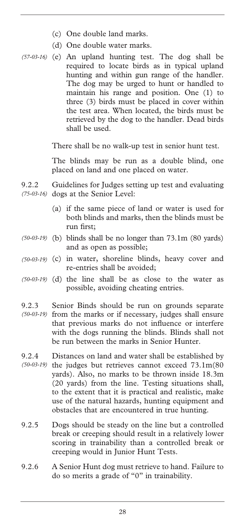- (c) One double land marks.
- (d) One double water marks.
- (e) An upland hunting test. The dog shall be *(57-03-16)*  required to locate birds as in typical upland hunting and within gun range of the handler. The dog may be urged to hunt or handled to maintain his range and position. One (1) to three (3) birds must be placed in cover within the test area. When located, the birds must be retrieved by the dog to the handler. Dead birds shall be used.

There shall be no walk-up test in senior hunt test.

The blinds may be run as a double blind, one placed on land and one placed on water.

- 9.2.2 Guidelines for Judges setting up test and evaluating (75-03-16) dogs at the Senior Level:
	- (a) if the same piece of land or water is used for both blinds and marks, then the blinds must be run first;
- (b) blinds shall be no longer than 73.1m (80 yards) *(50-03-19)*  and as open as possible;
- (c) in water, shoreline blinds, heavy cover and *(50-03-19)*  re-entries shall be avoided;
- $(50-03-19)$  (d) the line shall be as close to the water as possible, avoiding cheating entries.
- 9.2.3 Senior Binds should be run on grounds separate from the marks or if necessary, judges shall ensure that previous marks do not influence or interfere with the dogs running the blinds. Blinds shall not be run between the marks in Senior Hunter. *(50-03-19)*
- 9.2.4 Distances on land and water shall be established by (50-03-19) the judges but retrieves cannot exceed 73.1m(80 yards). Also, no marks to be thrown inside 18.3m (20 yards) from the line. Testing situations shall, to the extent that it is practical and realistic, make use of the natural hazards, hunting equipment and obstacles that are encountered in true hunting.
- 9.2.5 Dogs should be steady on the line but a controlled break or creeping should result in a relatively lower scoring in trainability than a controlled break or creeping would in Junior Hunt Tests.
- 9.2.6 A Senior Hunt dog must retrieve to hand. Failure to do so merits a grade of "0" in trainability.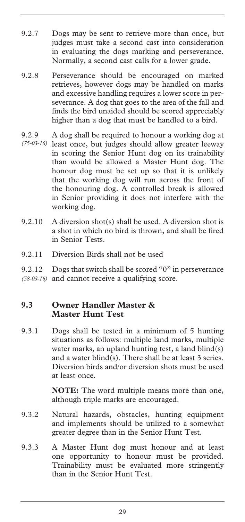- 9.2.7 Dogs may be sent to retrieve more than once, but judges must take a second cast into consideration in evaluating the dogs marking and perseverance. Normally, a second cast calls for a lower grade.
- 9.2.8 Perseverance should be encouraged on marked retrieves, however dogs may be handled on marks and excessive handling requires a lower score in perseverance. A dog that goes to the area of the fall and finds the bird unaided should be scored appreciably higher than a dog that must be handled to a bird.
- 9.2.9 A dog shall be required to honour a working dog at (75-03-16) least once, but judges should allow greater leeway in scoring the Senior Hunt dog on its trainability than would be allowed a Master Hunt dog. The honour dog must be set up so that it is unlikely that the working dog will run across the front of the honouring dog. A controlled break is allowed in Senior providing it does not interfere with the working dog.
- 9.2.10 A diversion shot(s) shall be used. A diversion shot is a shot in which no bird is thrown, and shall be fired in Senior Tests.
- 9.2.11 Diversion Birds shall not be used

9.2.12 Dogs that switch shall be scored "0" in perseverance (58-03-16) and cannot receive a qualifying score.

#### **9.3 Owner Handler Master & Master Hunt Test**

9.3.1 Dogs shall be tested in a minimum of 5 hunting situations as follows: multiple land marks, multiple water marks, an upland hunting test, a land blind(s) and a water blind(s). There shall be at least 3 series. Diversion birds and/or diversion shots must be used at least once.

> **NOTE:** The word multiple means more than one, although triple marks are encouraged.

- 9.3.2 Natural hazards, obstacles, hunting equipment and implements should be utilized to a somewhat greater degree than in the Senior Hunt Test.
- 9.3.3 A Master Hunt dog must honour and at least one opportunity to honour must be provided. Trainability must be evaluated more stringently than in the Senior Hunt Test.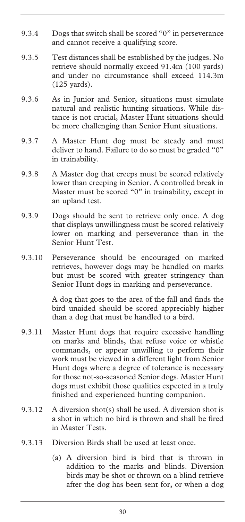- 9.3.4 Dogs that switch shall be scored "0" in perseverance and cannot receive a qualifying score.
- 9.3.5 Test distances shall be established by the judges. No retrieve should normally exceed 91.4m (100 yards) and under no circumstance shall exceed 114.3m (125 yards).
- 9.3.6 As in Junior and Senior, situations must simulate natural and realistic hunting situations. While distance is not crucial, Master Hunt situations should be more challenging than Senior Hunt situations.
- 9.3.7 A Master Hunt dog must be steady and must deliver to hand. Failure to do so must be graded "0" in trainability.
- 9.3.8 A Master dog that creeps must be scored relatively lower than creeping in Senior. A controlled break in Master must be scored "0" in trainability, except in an upland test.
- 9.3.9 Dogs should be sent to retrieve only once. A dog that displays unwillingness must be scored relatively lower on marking and perseverance than in the Senior Hunt Test.
- 9.3.10 Perseverance should be encouraged on marked retrieves, however dogs may be handled on marks but must be scored with greater stringency than Senior Hunt dogs in marking and perseverance.

A dog that goes to the area of the fall and finds the bird unaided should be scored appreciably higher than a dog that must be handled to a bird.

- 9.3.11 Master Hunt dogs that require excessive handling on marks and blinds, that refuse voice or whistle commands, or appear unwilling to perform their work must be viewed in a different light from Senior Hunt dogs where a degree of tolerance is necessary for those not-so-seasoned Senior dogs. Master Hunt dogs must exhibit those qualities expected in a truly finished and experienced hunting companion.
- 9.3.12 A diversion shot(s) shall be used. A diversion shot is a shot in which no bird is thrown and shall be fired in Master Tests.
- 9.3.13 Diversion Birds shall be used at least once.
	- (a) A diversion bird is bird that is thrown in addition to the marks and blinds. Diversion birds may be shot or thrown on a blind retrieve after the dog has been sent for, or when a dog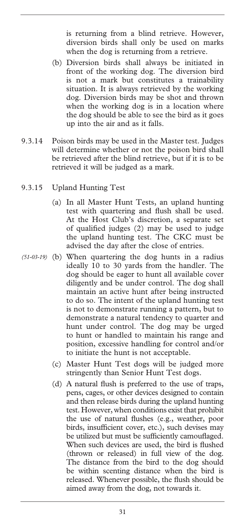is returning from a blind retrieve. However, diversion birds shall only be used on marks when the dog is returning from a retrieve.

- (b) Diversion birds shall always be initiated in front of the working dog. The diversion bird is not a mark but constitutes a trainability situation. It is always retrieved by the working dog. Diversion birds may be shot and thrown when the working dog is in a location where the dog should be able to see the bird as it goes up into the air and as it falls.
- 9.3.14 Poison birds may be used in the Master test. Judges will determine whether or not the poison bird shall be retrieved after the blind retrieve, but if it is to be retrieved it will be judged as a mark.
- 9.3.15 Upland Hunting Test
	- (a) In all Master Hunt Tests, an upland hunting test with quartering and flush shall be used. At the Host Club's discretion, a separate set of qualified judges (2) may be used to judge the upland hunting test. The CKC must be advised the day after the close of entries.
- (b) When quartering the dog hunts in a radius *(51-03-19)* ideally 10 to 30 yards from the handler. The dog should be eager to hunt all available cover diligently and be under control. The dog shall maintain an active hunt after being instructed to do so. The intent of the upland hunting test is not to demonstrate running a pattern, but to demonstrate a natural tendency to quarter and hunt under control. The dog may be urged to hunt or handled to maintain his range and position, excessive handling for control and/or to initiate the hunt is not acceptable.
	- (c) Master Hunt Test dogs will be judged more stringently than Senior Hunt Test dogs.
	- (d) A natural flush is preferred to the use of traps, pens, cages, or other devices designed to contain and then release birds during the upland hunting test. However, when conditions exist that prohibit the use of natural flushes (e.g., weather, poor birds, insufficient cover, etc.), such devises may be utilized but must be sufficiently camouflaged. When such devices are used, the bird is flushed (thrown or released) in full view of the dog. The distance from the bird to the dog should be within scenting distance when the bird is released. Whenever possible, the flush should be aimed away from the dog, not towards it.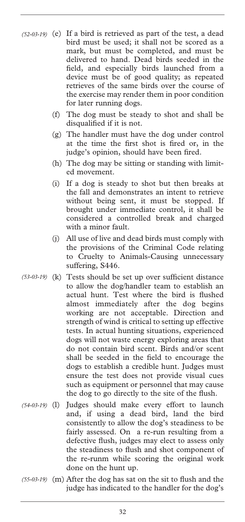- $(52-03-19)$  (e) If a bird is retrieved as part of the test, a dead bird must be used; it shall not be scored as a mark, but must be completed, and must be delivered to hand. Dead birds seeded in the field, and especially birds launched from a device must be of good quality; as repeated retrieves of the same birds over the course of the exercise may render them in poor condition for later running dogs.
	- (f) The dog must be steady to shot and shall be disqualified if it is not.
	- (g) The handler must have the dog under control at the time the first shot is fired or, in the judge's opinion, should have been fired.
	- (h) The dog may be sitting or standing with limited movement.
	- (i) If a dog is steady to shot but then breaks at the fall and demonstrates an intent to retrieve without being sent, it must be stopped. If brought under immediate control, it shall be considered a controlled break and charged with a minor fault.
	- (j) All use of live and dead birds must comply with the provisions of the Criminal Code relating to Cruelty to Animals-Causing unnecessary suffering, S446.
- (k) Tests should be set up over sufficient distance *(53-03-19)*  to allow the dog/handler team to establish an actual hunt. Test where the bird is flushed almost immediately after the dog begins working are not acceptable. Direction and strength of wind is critical to setting up effective tests. In actual hunting situations, experienced dogs will not waste energy exploring areas that do not contain bird scent. Birds and/or scent shall be seeded in the field to encourage the dogs to establish a credible hunt. Judges must ensure the test does not provide visual cues such as equipment or personnel that may cause the dog to go directly to the site of the flush.
- Judges should make every effort to launch and, if using a dead bird, land the bird consistently to allow the dog's steadiness to be fairly assessed. On a re-run resulting from a defective flush, judges may elect to assess only the steadiness to flush and shot component of the re-runm while scoring the original work done on the hunt up. *(54-03-19)*
- (m) After the dog has sat on the sit to flush and the *(55-03-19)* judge has indicated to the handler for the dog's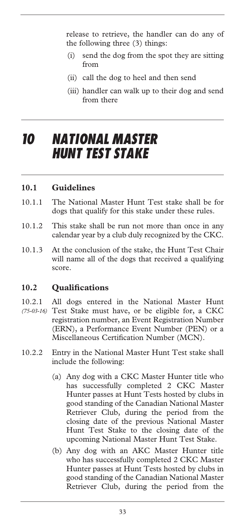release to retrieve, the handler can do any of the following three (3) things:

- (i) send the dog from the spot they are sitting from
- (ii) call the dog to heel and then send
- (iii) handler can walk up to their dog and send from there

# *10 NATIONAL MASTER HUNT TEST STAKE*

#### **10.1 Guidelines**

- 10.1.1 The National Master Hunt Test stake shall be for dogs that qualify for this stake under these rules.
- 10.1.2 This stake shall be run not more than once in any calendar year by a club duly recognized by the CKC.
- 10.1.3 At the conclusion of the stake, the Hunt Test Chair will name all of the dogs that received a qualifying score.

# **10.2 Qualifications**

- 10.2.1 All dogs entered in the National Master Hunt (75-03-16) Test Stake must have, or be eligible for, a CKC registration number, an Event Registration Number (ERN), a Performance Event Number (PEN) or a Miscellaneous Certification Number (MCN).
- 10.2.2 Entry in the National Master Hunt Test stake shall include the following:
	- (a) Any dog with a CKC Master Hunter title who has successfully completed 2 CKC Master Hunter passes at Hunt Tests hosted by clubs in good standing of the Canadian National Master Retriever Club, during the period from the closing date of the previous National Master Hunt Test Stake to the closing date of the upcoming National Master Hunt Test Stake.
	- (b) Any dog with an AKC Master Hunter title who has successfully completed 2 CKC Master Hunter passes at Hunt Tests hosted by clubs in good standing of the Canadian National Master Retriever Club, during the period from the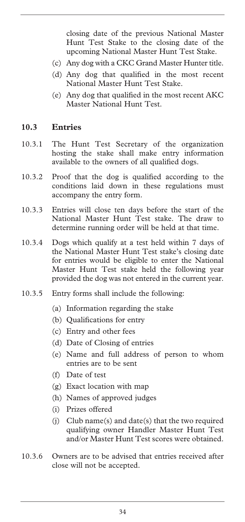closing date of the previous National Master Hunt Test Stake to the closing date of the upcoming National Master Hunt Test Stake.

- (c) Any dog with a CKC Grand Master Hunter title.
- (d) Any dog that qualified in the most recent National Master Hunt Test Stake.
- (e) Any dog that qualified in the most recent AKC Master National Hunt Test.

#### **10.3 Entries**

- 10.3.1 The Hunt Test Secretary of the organization hosting the stake shall make entry information available to the owners of all qualified dogs.
- 10.3.2 Proof that the dog is qualified according to the conditions laid down in these regulations must accompany the entry form.
- 10.3.3 Entries will close ten days before the start of the National Master Hunt Test stake. The draw to determine running order will be held at that time.
- 10.3.4 Dogs which qualify at a test held within 7 days of the National Master Hunt Test stake's closing date for entries would be eligible to enter the National Master Hunt Test stake held the following year provided the dog was not entered in the current year.
- 10.3.5 Entry forms shall include the following:
	- (a) Information regarding the stake
	- (b) Qualifications for entry
	- (c) Entry and other fees
	- (d) Date of Closing of entries
	- (e) Name and full address of person to whom entries are to be sent
	- (f) Date of test
	- (g) Exact location with map
	- (h) Names of approved judges
	- (i) Prizes offered
	- (j) Club name(s) and date(s) that the two required qualifying owner Handler Master Hunt Test and/or Master Hunt Test scores were obtained.
- 10.3.6 Owners are to be advised that entries received after close will not be accepted.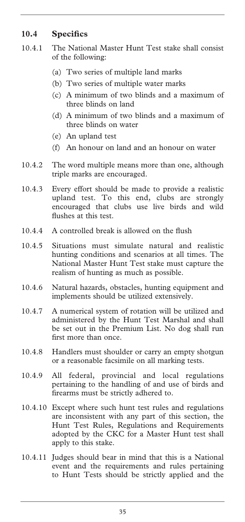# **10.4 Specifics**

- 10.4.1 The National Master Hunt Test stake shall consist of the following:
	- (a) Two series of multiple land marks
	- (b) Two series of multiple water marks
	- (c) A minimum of two blinds and a maximum of three blinds on land
	- (d) A minimum of two blinds and a maximum of three blinds on water
	- (e) An upland test
	- (f) An honour on land and an honour on water
- 10.4.2 The word multiple means more than one, although triple marks are encouraged.
- 10.4.3 Every effort should be made to provide a realistic upland test. To this end, clubs are strongly encouraged that clubs use live birds and wild flushes at this test.
- 10.4.4 A controlled break is allowed on the flush
- 10.4.5 Situations must simulate natural and realistic hunting conditions and scenarios at all times. The National Master Hunt Test stake must capture the realism of hunting as much as possible.
- 10.4.6 Natural hazards, obstacles, hunting equipment and implements should be utilized extensively.
- 10.4.7 A numerical system of rotation will be utilized and administered by the Hunt Test Marshal and shall be set out in the Premium List. No dog shall run first more than once.
- 10.4.8 Handlers must shoulder or carry an empty shotgun or a reasonable facsimile on all marking tests.
- 10.4.9 All federal, provincial and local regulations pertaining to the handling of and use of birds and firearms must be strictly adhered to.
- 10.4.10 Except where such hunt test rules and regulations are inconsistent with any part of this section, the Hunt Test Rules, Regulations and Requirements adopted by the CKC for a Master Hunt test shall apply to this stake.
- 10.4.11 Judges should bear in mind that this is a National event and the requirements and rules pertaining to Hunt Tests should be strictly applied and the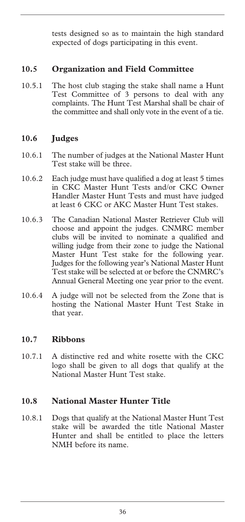tests designed so as to maintain the high standard expected of dogs participating in this event.

# **10.5 Organization and Field Committee**

10.5.1 The host club staging the stake shall name a Hunt Test Committee of 3 persons to deal with any complaints. The Hunt Test Marshal shall be chair of the committee and shall only vote in the event of a tie.

# **10.6 Judges**

- 10.6.1 The number of judges at the National Master Hunt Test stake will be three.
- 10.6.2 Each judge must have qualified a dog at least 5 times in CKC Master Hunt Tests and/or CKC Owner Handler Master Hunt Tests and must have judged at least 6 CKC or AKC Master Hunt Test stakes.
- 10.6.3 The Canadian National Master Retriever Club will choose and appoint the judges. CNMRC member clubs will be invited to nominate a qualified and willing judge from their zone to judge the National Master Hunt Test stake for the following year. Judges for the following year's National Master Hunt Test stake will be selected at or before the CNMRC's Annual General Meeting one year prior to the event.
- 10.6.4 A judge will not be selected from the Zone that is hosting the National Master Hunt Test Stake in that year.

# **10.7 Ribbons**

10.7.1 A distinctive red and white rosette with the CKC logo shall be given to all dogs that qualify at the National Master Hunt Test stake.

# **10.8 National Master Hunter Title**

10.8.1 Dogs that qualify at the National Master Hunt Test stake will be awarded the title National Master Hunter and shall be entitled to place the letters NMH before its name.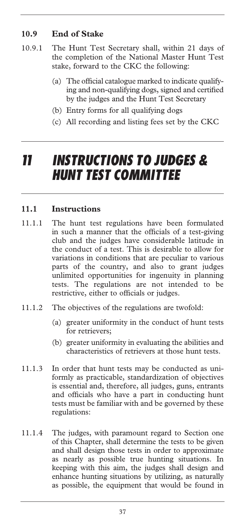# **10.9 End of Stake**

- 10.9.1 The Hunt Test Secretary shall, within 21 days of the completion of the National Master Hunt Test stake, forward to the CKC the following:
	- (a) The official catalogue marked to indicate qualifying and non-qualifying dogs, signed and certified by the judges and the Hunt Test Secretary
	- (b) Entry forms for all qualifying dogs
	- (c) All recording and listing fees set by the CKC

# *11 INSTRUCTIONS TO JUDGES & HUNT TEST COMMITTEE*

#### **11.1 Instructions**

- 11.1.1 The hunt test regulations have been formulated in such a manner that the officials of a test-giving club and the judges have considerable latitude in the conduct of a test. This is desirable to allow for variations in conditions that are peculiar to various parts of the country, and also to grant judges unlimited opportunities for ingenuity in planning tests. The regulations are not intended to be restrictive, either to officials or judges.
- 11.1.2 The objectives of the regulations are twofold:
	- (a) greater uniformity in the conduct of hunt tests for retrievers;
	- (b) greater uniformity in evaluating the abilities and characteristics of retrievers at those hunt tests.
- 11.1.3 In order that hunt tests may be conducted as uniformly as practicable, standardization of objectives is essential and, therefore, all judges, guns, entrants and officials who have a part in conducting hunt tests must be familiar with and be governed by these regulations:
- 11.1.4 The judges, with paramount regard to Section one of this Chapter, shall determine the tests to be given and shall design those tests in order to approximate as nearly as possible true hunting situations. In keeping with this aim, the judges shall design and enhance hunting situations by utilizing, as naturally as possible, the equipment that would be found in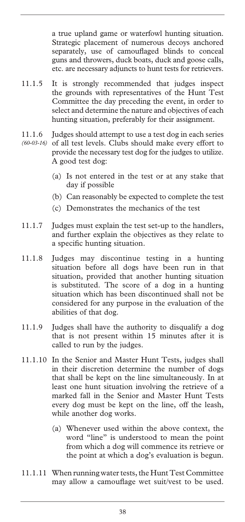a true upland game or waterfowl hunting situation. Strategic placement of numerous decoys anchored separately, use of camouflaged blinds to conceal guns and throwers, duck boats, duck and goose calls, etc. are necessary adjuncts to hunt tests for retrievers.

- 11.1.5 It is strongly recommended that judges inspect the grounds with representatives of the Hunt Test Committee the day preceding the event, in order to select and determine the nature and objectives of each hunting situation, preferably for their assignment.
- 11.1.6 Judges should attempt to use a test dog in each series of all test levels. Clubs should make every effort to *(60-03-16)* provide the necessary test dog for the judges to utilize. A good test dog:
	- (a) Is not entered in the test or at any stake that day if possible
	- (b) Can reasonably be expected to complete the test
	- (c) Demonstrates the mechanics of the test
- 11.1.7 Judges must explain the test set-up to the handlers, and further explain the objectives as they relate to a specific hunting situation.
- 11.1.8 Judges may discontinue testing in a hunting situation before all dogs have been run in that situation, provided that another hunting situation is substituted. The score of a dog in a hunting situation which has been discontinued shall not be considered for any purpose in the evaluation of the abilities of that dog.
- 11.1.9 Judges shall have the authority to disqualify a dog that is not present within 15 minutes after it is called to run by the judges.
- 11.1.10 In the Senior and Master Hunt Tests, judges shall in their discretion determine the number of dogs that shall be kept on the line simultaneously. In at least one hunt situation involving the retrieve of a marked fall in the Senior and Master Hunt Tests every dog must be kept on the line, off the leash, while another dog works.
	- (a) Whenever used within the above context, the word "line" is understood to mean the point from which a dog will commence its retrieve or the point at which a dog's evaluation is begun.
- 11.1.11 When running water tests, the Hunt Test Committee may allow a camouflage wet suit/vest to be used.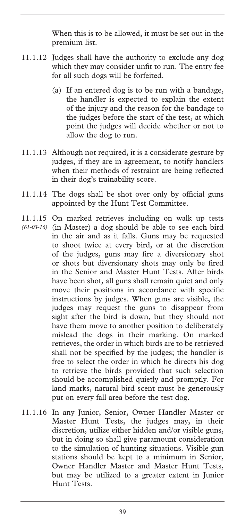When this is to be allowed, it must be set out in the premium list.

- 11.1.12 Judges shall have the authority to exclude any dog which they may consider unfit to run. The entry fee for all such dogs will be forfeited.
	- (a) If an entered dog is to be run with a bandage, the handler is expected to explain the extent of the injury and the reason for the bandage to the judges before the start of the test, at which point the judges will decide whether or not to allow the dog to run.
- 11.1.13 Although not required, it is a considerate gesture by judges, if they are in agreement, to notify handlers when their methods of restraint are being reflected in their dog's trainability score.
- 11.1.14 The dogs shall be shot over only by official guns appointed by the Hunt Test Committee.
- 11.1.15 On marked retrieves including on walk up tests (in Master) a dog should be able to see each bird *(61-03-16)* in the air and as it falls. Guns may be requested to shoot twice at every bird, or at the discretion of the judges, guns may fire a diversionary shot or shots but diversionary shots may only be fired in the Senior and Master Hunt Tests. After birds have been shot, all guns shall remain quiet and only move their positions in accordance with specific instructions by judges. When guns are visible, the judges may request the guns to disappear from sight after the bird is down, but they should not have them move to another position to deliberately mislead the dogs in their marking. On marked retrieves, the order in which birds are to be retrieved shall not be specified by the judges; the handler is free to select the order in which he directs his dog to retrieve the birds provided that such selection should be accomplished quietly and promptly. For land marks, natural bird scent must be generously put on every fall area before the test dog.
- 11.1.16 In any Junior, Senior, Owner Handler Master or Master Hunt Tests, the judges may, in their discretion, utilize either hidden and/or visible guns, but in doing so shall give paramount consideration to the simulation of hunting situations. Visible gun stations should be kept to a minimum in Senior, Owner Handler Master and Master Hunt Tests, but may be utilized to a greater extent in Junior Hunt Tests.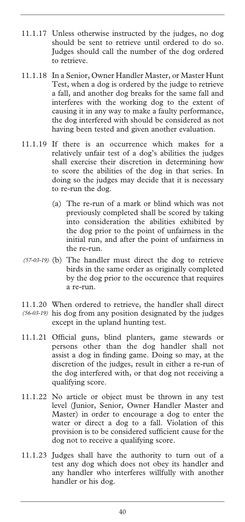- 11.1.17 Unless otherwise instructed by the judges, no dog should be sent to retrieve until ordered to do so. Judges should call the number of the dog ordered to retrieve.
- 11.1.18 In a Senior, Owner Handler Master, or Master Hunt Test, when a dog is ordered by the judge to retrieve a fall, and another dog breaks for the same fall and interferes with the working dog to the extent of causing it in any way to make a faulty performance, the dog interfered with should be considered as not having been tested and given another evaluation.
- 11.1.19 If there is an occurrence which makes for a relatively unfair test of a dog's abilities the judges shall exercise their discretion in determining how to score the abilities of the dog in that series. In doing so the judges may decide that it is necessary to re-run the dog.
	- (a) The re-run of a mark or blind which was not previously completed shall be scored by taking into consideration the abilities exhibited by the dog prior to the point of unfairness in the initial run, and after the point of unfairness in the re-run.
- (b) The handler must direct the dog to retrieve *(57-03-19)*  birds in the same order as originally completed by the dog prior to the occurence that requires a re-run.
- 11.1.20 When ordered to retrieve, the handler shall direct (56-03-19) his dog from any position designated by the judges except in the upland hunting test.
- 11.1.21 Official guns, blind planters, game stewards or persons other than the dog handler shall not assist a dog in finding game. Doing so may, at the discretion of the judges, result in either a re-run of the dog interfered with, or that dog not receiving a qualifying score.
- 11.1.22 No article or object must be thrown in any test level (Junior, Senior, Owner Handler Master and Master) in order to encourage a dog to enter the water or direct a dog to a fall. Violation of this provision is to be considered sufficient cause for the dog not to receive a qualifying score.
- 11.1.23 Judges shall have the authority to turn out of a test any dog which does not obey its handler and any handler who interferes willfully with another handler or his dog.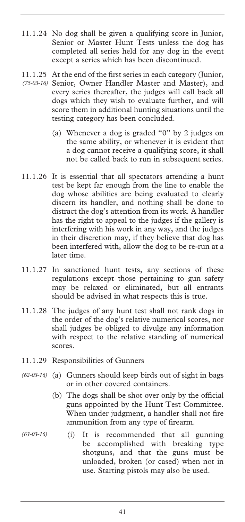- 11.1.24 No dog shall be given a qualifying score in Junior, Senior or Master Hunt Tests unless the dog has completed all series held for any dog in the event except a series which has been discontinued.
- 11.1.25 At the end of the first series in each category (Junior, Senior, Owner Handler Master and Master), and *(75-03-16)*  every series thereafter, the judges will call back all dogs which they wish to evaluate further, and will score them in additional hunting situations until the testing category has been concluded.
	- (a) Whenever a dog is graded "0" by 2 judges on the same ability, or whenever it is evident that a dog cannot receive a qualifying score, it shall not be called back to run in subsequent series.
- 11.1.26 It is essential that all spectators attending a hunt test be kept far enough from the line to enable the dog whose abilities are being evaluated to clearly discern its handler, and nothing shall be done to distract the dog's attention from its work. A handler has the right to appeal to the judges if the gallery is interfering with his work in any way, and the judges in their discretion may, if they believe that dog has been interfered with, allow the dog to be re-run at a later time.
- 11.1.27 In sanctioned hunt tests, any sections of these regulations except those pertaining to gun safety may be relaxed or eliminated, but all entrants should be advised in what respects this is true.
- 11.1.28 The judges of any hunt test shall not rank dogs in the order of the dog's relative numerical scores, nor shall judges be obliged to divulge any information with respect to the relative standing of numerical scores.
- 11.1.29 Responsibilities of Gunners
- (a) Gunners should keep birds out of sight in bags *(62-03-16)*  or in other covered containers.
	- (b) The dogs shall be shot over only by the official guns appointed by the Hunt Test Committee. When under judgment, a handler shall not fire ammunition from any type of firearm.
- (i) It is recommended that all gunning be accomplished with breaking type shotguns, and that the guns must be unloaded, broken (or cased) when not in use. Starting pistols may also be used. *(63-03-16)*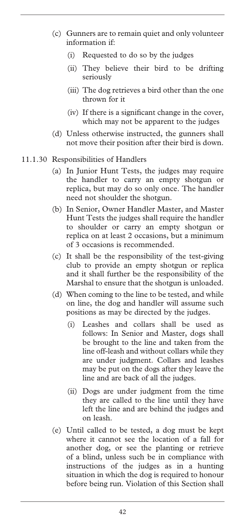- (c) Gunners are to remain quiet and only volunteer information if:
	- (i) Requested to do so by the judges
	- (ii) They believe their bird to be drifting seriously
	- (iii) The dog retrieves a bird other than the one thrown for it
	- (iv) If there is a significant change in the cover, which may not be apparent to the judges
- (d) Unless otherwise instructed, the gunners shall not move their position after their bird is down.
- 11.1.30 Responsibilities of Handlers
	- (a) In Junior Hunt Tests, the judges may require the handler to carry an empty shotgun or replica, but may do so only once. The handler need not shoulder the shotgun.
	- (b) In Senior, Owner Handler Master, and Master Hunt Tests the judges shall require the handler to shoulder or carry an empty shotgun or replica on at least 2 occasions, but a minimum of 3 occasions is recommended.
	- (c) It shall be the responsibility of the test-giving club to provide an empty shotgun or replica and it shall further be the responsibility of the Marshal to ensure that the shotgun is unloaded.
	- (d) When coming to the line to be tested, and while on line, the dog and handler will assume such positions as may be directed by the judges.
		- (i) Leashes and collars shall be used as follows: In Senior and Master, dogs shall be brought to the line and taken from the line off-leash and without collars while they are under judgment. Collars and leashes may be put on the dogs after they leave the line and are back of all the judges.
		- (ii) Dogs are under judgment from the time they are called to the line until they have left the line and are behind the judges and on leash.
	- (e) Until called to be tested, a dog must be kept where it cannot see the location of a fall for another dog, or see the planting or retrieve of a blind, unless such be in compliance with instructions of the judges as in a hunting situation in which the dog is required to honour before being run. Violation of this Section shall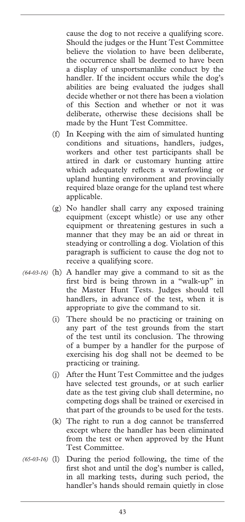cause the dog to not receive a qualifying score. Should the judges or the Hunt Test Committee believe the violation to have been deliberate, the occurrence shall be deemed to have been a display of unsportsmanlike conduct by the handler. If the incident occurs while the dog's abilities are being evaluated the judges shall decide whether or not there has been a violation of this Section and whether or not it was deliberate, otherwise these decisions shall be made by the Hunt Test Committee.

- (f) In Keeping with the aim of simulated hunting conditions and situations, handlers, judges, workers and other test participants shall be attired in dark or customary hunting attire which adequately reflects a waterfowling or upland hunting environment and provincially required blaze orange for the upland test where applicable.
- (g) No handler shall carry any exposed training equipment (except whistle) or use any other equipment or threatening gestures in such a manner that they may be an aid or threat in steadying or controlling a dog. Violation of this paragraph is sufficient to cause the dog not to receive a qualifying score.
- (64-03-16) (h) A handler may give a command to sit as the first bird is being thrown in a "walk-up" in the Master Hunt Tests. Judges should tell handlers, in advance of the test, when it is appropriate to give the command to sit.
	- (i) There should be no practicing or training on any part of the test grounds from the start of the test until its conclusion. The throwing of a bumper by a handler for the purpose of exercising his dog shall not be deemed to be practicing or training.
	- (j) After the Hunt Test Committee and the judges have selected test grounds, or at such earlier date as the test giving club shall determine, no competing dogs shall be trained or exercised in that part of the grounds to be used for the tests.
	- (k) The right to run a dog cannot be transferred except where the handler has been eliminated from the test or when approved by the Hunt Test Committee.
- During the period following, the time of the first shot and until the dog's number is called, in all marking tests, during such period, the handler's hands should remain quietly in close  $(65-03-16)$  (1)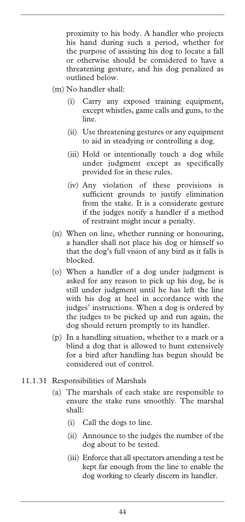proximity to his body. A handler who projects his hand during such a period, whether for the purpose of assisting his dog to locate a fall or otherwise should be considered to have a threatening gesture, and his dog penalized as outlined below.

- (m) No handler shall:
	- (i) Carry any exposed training equipment, except whistles, game calls and guns, to the line.
	- (ii) Use threatening gestures or any equipment to aid in steadying or controlling a dog.
	- (iii) Hold or intentionally touch a dog while under judgment except as specifically provided for in these rules.
	- (iv) Any violation of these provisions sufficient grounds to justify elimination from the stake. It is a considerate gesture if the judges notify a handler if a method of restraint might incur a penalty.
- (n) When on line, whether running or honouring, a handler shall not place his dog or himself so that the dog's full vision of any bird as it falls is blocked.
- (o) When a handler of a dog under judgment is asked for any reason to pick up his dog, he is still under judgment until he has left the line with his dog at heel in accordance with the judges' instructions. When a dog is ordered by the judges to be picked up and run again, the dog should return promptly to its handler.
- (p) In a handling situation, whether to a mark or a blind a dog that is allowed to hunt extensively for a bird after handling has begun should be considered out of control.
- 11.1.31 Responsibilities of Marshals
	- (a) The marshals of each stake are responsible to ensure the stake runs smoothly. The marshal shall:
		- (i) Call the dogs to line.
		- (ii) Announce to the judges the number of the dog about to be tested.
		- (iii) Enforce that all spectators attending a test be kept far enough from the line to enable the dog working to clearly discern its handler.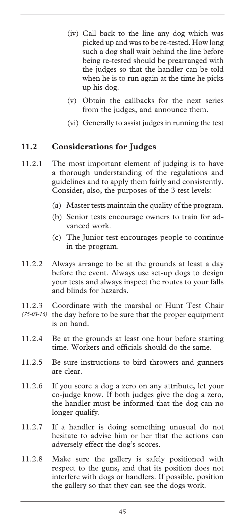- (iv) Call back to the line any dog which was picked up and was to be re-tested. How long such a dog shall wait behind the line before being re-tested should be prearranged with the judges so that the handler can be told when he is to run again at the time he picks up his dog.
- (v) Obtain the callbacks for the next series from the judges, and announce them.
- (vi) Generally to assist judges in running the test

# **11.2 Considerations for Judges**

- 11.2.1 The most important element of judging is to have a thorough understanding of the regulations and guidelines and to apply them fairly and consistently. Consider, also, the purposes of the 3 test levels:
	- (a) Master tests maintain the quality of the program.
	- (b) Senior tests encourage owners to train for advanced work.
	- (c) The Junior test encourages people to continue in the program.
- 11.2.2 Always arrange to be at the grounds at least a day before the event. Always use set-up dogs to design your tests and always inspect the routes to your falls and blinds for hazards.
- 11.2.3 Coordinate with the marshal or Hunt Test Chair (75-03-16) the day before to be sure that the proper equipment is on hand.
- 11.2.4 Be at the grounds at least one hour before starting time. Workers and officials should do the same.
- 11.2.5 Be sure instructions to bird throwers and gunners are clear.
- 11.2.6 If you score a dog a zero on any attribute, let your co-judge know. If both judges give the dog a zero, the handler must be informed that the dog can no longer qualify.
- 11.2.7 If a handler is doing something unusual do not hesitate to advise him or her that the actions can adversely effect the dog's scores.
- 11.2.8 Make sure the gallery is safely positioned with respect to the guns, and that its position does not interfere with dogs or handlers. If possible, position the gallery so that they can see the dogs work.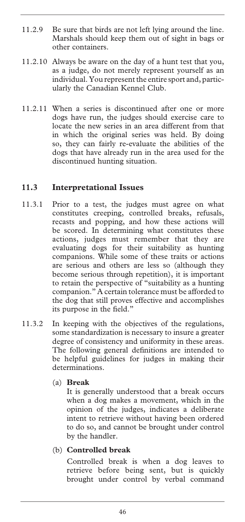- 11.2.9 Be sure that birds are not left lying around the line. Marshals should keep them out of sight in bags or other containers.
- 11.2.10 Always be aware on the day of a hunt test that you, as a judge, do not merely represent yourself as an individual. You represent the entire sport and, particularly the Canadian Kennel Club.
- 11.2.11 When a series is discontinued after one or more dogs have run, the judges should exercise care to locate the new series in an area different from that in which the original series was held. By doing so, they can fairly re-evaluate the abilities of the dogs that have already run in the area used for the discontinued hunting situation.

#### **11.3 Interpretational Issues**

- 11.3.1 Prior to a test, the judges must agree on what constitutes creeping, controlled breaks, refusals, recasts and popping, and how these actions will be scored. In determining what constitutes these actions, judges must remember that they are evaluating dogs for their suitability as hunting companions. While some of these traits or actions are serious and others are less so (although they become serious through repetition), it is important to retain the perspective of "suitability as a hunting companion." A certain tolerance must be afforded to the dog that still proves effective and accomplishes its purpose in the field."
- 11.3.2 In keeping with the objectives of the regulations, some standardization is necessary to insure a greater degree of consistency and uniformity in these areas. The following general definitions are intended to be helpful guidelines for judges in making their determinations.

#### (a) **Break**

 It is generally understood that a break occurs when a dog makes a movement, which in the opinion of the judges, indicates a deliberate intent to retrieve without having been ordered to do so, and cannot be brought under control by the handler.

#### (b) **Controlled break**

 Controlled break is when a dog leaves to retrieve before being sent, but is quickly brought under control by verbal command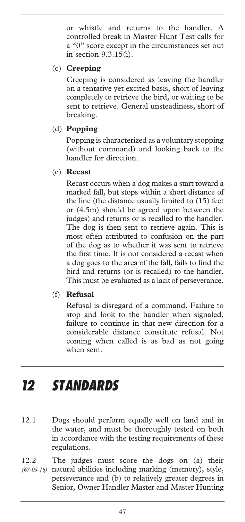or whistle and returns to the handler. A controlled break in Master Hunt Test calls for a "0" score except in the circumstances set out in section 9.3.15(i).

### (c) **Creeping**

 Creeping is considered as leaving the handler on a tentative yet excited basis, short of leaving completely to retrieve the bird, or waiting to be sent to retrieve. General unsteadiness, short of breaking.

#### (d) **Popping**

 Popping is characterized as a voluntary stopping (without command) and looking back to the handler for direction.

(e) **Recast**

 Recast occurs when a dog makes a start toward a marked fall, but stops within a short distance of the line (the distance usually limited to (15) feet or (4.5m) should be agreed upon between the judges) and returns or is recalled to the handler. The dog is then sent to retrieve again. This is most often attributed to confusion on the part of the dog as to whether it was sent to retrieve the first time. It is not considered a recast when a dog goes to the area of the fall, fails to find the bird and returns (or is recalled) to the handler. This must be evaluated as a lack of perseverance.

#### (f) **Refusal**

 Refusal is disregard of a command. Failure to stop and look to the handler when signaled, failure to continue in that new direction for a considerable distance constitute refusal. Not coming when called is as bad as not going when sent.

# *12 STANDARDS*

- 12.1 Dogs should perform equally well on land and in the water, and must be thoroughly tested on both in accordance with the testing requirements of these regulations.
- 12.2 The judges must score the dogs on (a) their natural abilities including marking (memory), style, perseverance and (b) to relatively greater degrees in Senior, Owner Handler Master and Master Hunting *(67-03-16)*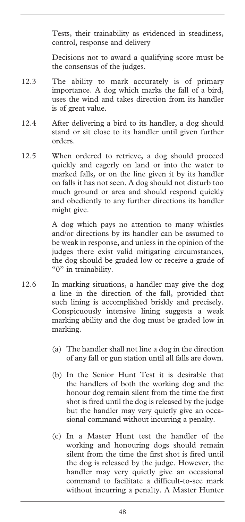Tests, their trainability as evidenced in steadiness, control, response and delivery

Decisions not to award a qualifying score must be the consensus of the judges.

- 12.3 The ability to mark accurately is of primary importance. A dog which marks the fall of a bird, uses the wind and takes direction from its handler is of great value.
- 12.4 After delivering a bird to its handler, a dog should stand or sit close to its handler until given further orders.
- 12.5 When ordered to retrieve, a dog should proceed quickly and eagerly on land or into the water to marked falls, or on the line given it by its handler on falls it has not seen. A dog should not disturb too much ground or area and should respond quickly and obediently to any further directions its handler might give.

A dog which pays no attention to many whistles and/or directions by its handler can be assumed to be weak in response, and unless in the opinion of the judges there exist valid mitigating circumstances, the dog should be graded low or receive a grade of "0" in trainability.

- 12.6 In marking situations, a handler may give the dog a line in the direction of the fall, provided that such lining is accomplished briskly and precisely. Conspicuously intensive lining suggests a weak marking ability and the dog must be graded low in marking.
	- (a) The handler shall not line a dog in the direction of any fall or gun station until all falls are down.
	- (b) In the Senior Hunt Test it is desirable that the handlers of both the working dog and the honour dog remain silent from the time the first shot is fired until the dog is released by the judge but the handler may very quietly give an occasional command without incurring a penalty.
	- (c) In a Master Hunt test the handler of the working and honouring dogs should remain silent from the time the first shot is fired until the dog is released by the judge. However, the handler may very quietly give an occasional command to facilitate a difficult-to-see mark without incurring a penalty. A Master Hunter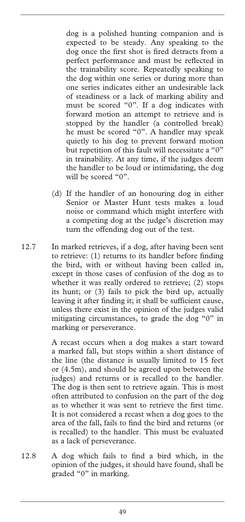dog is a polished hunting companion and is expected to be steady. Any speaking to the dog once the first shot is fired detracts from a perfect performance and must be reflected in the trainability score. Repeatedly speaking to the dog within one series or during more than one series indicates either an undesirable lack of steadiness or a lack of marking ability and must be scored "0". If a dog indicates with forward motion an attempt to retrieve and is stopped by the handler (a controlled break) he must be scored "0". A handler may speak quietly to his dog to prevent forward motion but repetition of this fault will necessitate a "0" in trainability. At any time, if the judges deem the handler to be loud or intimidating, the dog will be scored "0".

- (d) If the handler of an honouring dog in either Senior or Master Hunt tests makes a loud noise or command which might interfere with a competing dog at the judge's discretion may turn the offending dog out of the test.
- 12.7 In marked retrieves, if a dog, after having been sent to retrieve: (1) returns to its handler before finding the bird, with or without having been called in, except in those cases of confusion of the dog as to whether it was really ordered to retrieve; (2) stops its hunt; or (3) fails to pick the bird up, actually leaving it after finding it; it shall be sufficient cause, unless there exist in the opinion of the judges valid mitigating circumstances, to grade the dog "0" in marking or perseverance.

A recast occurs when a dog makes a start toward a marked fall, but stops within a short distance of the line (the distance is usually limited to 15 feet or (4.5m), and should be agreed upon between the judges) and returns or is recalled to the handler. The dog is then sent to retrieve again. This is most often attributed to confusion on the part of the dog as to whether it was sent to retrieve the first time. It is not considered a recast when a dog goes to the area of the fall, fails to find the bird and returns (or is recalled) to the handler. This must be evaluated as a lack of perseverance.

12.8 A dog which fails to find a bird which, in the opinion of the judges, it should have found, shall be graded "0" in marking.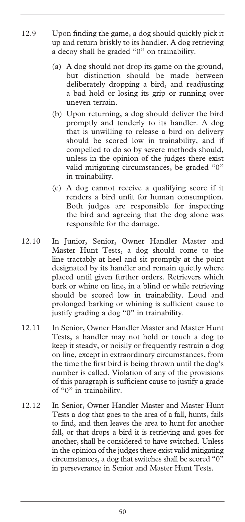- 12.9 Upon finding the game, a dog should quickly pick it up and return briskly to its handler. A dog retrieving a decoy shall be graded "0" on trainability.
	- (a) A dog should not drop its game on the ground, but distinction should be made between deliberately dropping a bird, and readjusting a bad hold or losing its grip or running over uneven terrain.
	- (b) Upon returning, a dog should deliver the bird promptly and tenderly to its handler. A dog that is unwilling to release a bird on delivery should be scored low in trainability, and if compelled to do so by severe methods should, unless in the opinion of the judges there exist valid mitigating circumstances, be graded "0" in trainability.
	- (c) A dog cannot receive a qualifying score if it renders a bird unfit for human consumption. Both judges are responsible for inspecting the bird and agreeing that the dog alone was responsible for the damage.
- 12.10 In Junior, Senior, Owner Handler Master and Master Hunt Tests, a dog should come to the line tractably at heel and sit promptly at the point designated by its handler and remain quietly where placed until given further orders. Retrievers which bark or whine on line, in a blind or while retrieving should be scored low in trainability. Loud and prolonged barking or whining is sufficient cause to justify grading a dog "0" in trainability.
- 12.11 In Senior, Owner Handler Master and Master Hunt Tests, a handler may not hold or touch a dog to keep it steady, or noisily or frequently restrain a dog on line, except in extraordinary circumstances, from the time the first bird is being thrown until the dog's number is called. Violation of any of the provisions of this paragraph is sufficient cause to justify a grade of "0" in trainability.
- 12.12 In Senior, Owner Handler Master and Master Hunt Tests a dog that goes to the area of a fall, hunts, fails to find, and then leaves the area to hunt for another fall, or that drops a bird it is retrieving and goes for another, shall be considered to have switched. Unless in the opinion of the judges there exist valid mitigating circumstances, a dog that switches shall be scored "0" in perseverance in Senior and Master Hunt Tests.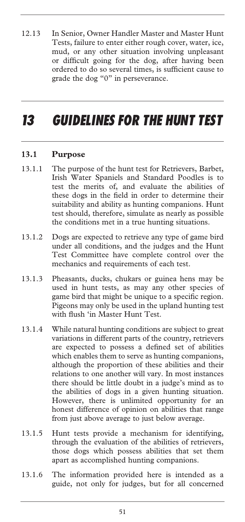12.13 In Senior, Owner Handler Master and Master Hunt Tests, failure to enter either rough cover, water, ice, mud, or any other situation involving unpleasant or difficult going for the dog, after having been ordered to do so several times, is sufficient cause to grade the dog "0" in perseverance.

# *13 GUIDELINES FOR THE HUNT TEST*

#### **13.1 Purpose**

- 13.1.1 The purpose of the hunt test for Retrievers, Barbet, Irish Water Spaniels and Standard Poodles is to test the merits of, and evaluate the abilities of these dogs in the field in order to determine their suitability and ability as hunting companions. Hunt test should, therefore, simulate as nearly as possible the conditions met in a true hunting situations.
- 13.1.2 Dogs are expected to retrieve any type of game bird under all conditions, and the judges and the Hunt Test Committee have complete control over the mechanics and requirements of each test.
- 13.1.3 Pheasants, ducks, chukars or guinea hens may be used in hunt tests, as may any other species of game bird that might be unique to a specific region. Pigeons may only be used in the upland hunting test with flush 'in Master Hunt Test.
- 13.1.4 While natural hunting conditions are subject to great variations in different parts of the country, retrievers are expected to possess a defined set of abilities which enables them to serve as hunting companions, although the proportion of these abilities and their relations to one another will vary. In most instances there should be little doubt in a judge's mind as to the abilities of dogs in a given hunting situation. However, there is unlimited opportunity for an honest difference of opinion on abilities that range from just above average to just below average.
- 13.1.5 Hunt tests provide a mechanism for identifying, through the evaluation of the abilities of retrievers, those dogs which possess abilities that set them apart as accomplished hunting companions.
- 13.1.6 The information provided here is intended as a guide, not only for judges, but for all concerned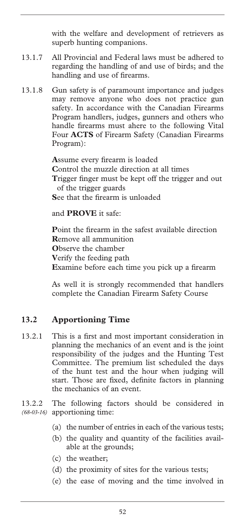with the welfare and development of retrievers as superb hunting companions.

- 13.1.7 All Provincial and Federal laws must be adhered to regarding the handling of and use of birds; and the handling and use of firearms.
- 13.1.8 Gun safety is of paramount importance and judges may remove anyone who does not practice gun safety. In accordance with the Canadian Firearms Program handlers, judges, gunners and others who handle firearms must ahere to the following Vital Four **ACTS** of Firearm Safety (Canadian Firearms Program):

**A**ssume every firearm is loaded **C**ontrol the muzzle direction at all times **T**rigger finger must be kept off the trigger and out of the trigger guards **S**ee that the firearm is unloaded

#### and **PROVE** it safe:

**P**oint the firearm in the safest available direction **R**emove all ammunition **O**bserve the chamber **V**erify the feeding path **E**xamine before each time you pick up a firearm

As well it is strongly recommended that handlers complete the Canadian Firearm Safety Course

#### **13.2 Apportioning Time**

13.2.1 This is a first and most important consideration in planning the mechanics of an event and is the joint responsibility of the judges and the Hunting Test Committee. The premium list scheduled the days of the hunt test and the hour when judging will start. Those are fixed, definite factors in planning the mechanics of an event.

13.2.2 The following factors should be considered in (68-03-16) apportioning time:

- (a) the number of entries in each of the various tests;
- (b) the quality and quantity of the facilities available at the grounds;
- (c) the weather;
- (d) the proximity of sites for the various tests;
- (e) the ease of moving and the time involved in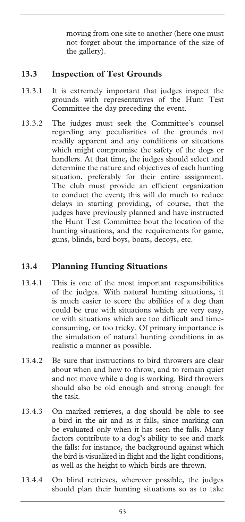moving from one site to another (here one must not forget about the importance of the size of the gallery).

### **13.3 Inspection of Test Grounds**

- 13.3.1 It is extremely important that judges inspect the grounds with representatives of the Hunt Test Committee the day preceding the event.
- 13.3.2 The judges must seek the Committee's counsel regarding any peculiarities of the grounds not readily apparent and any conditions or situations which might compromise the safety of the dogs or handlers. At that time, the judges should select and determine the nature and objectives of each hunting situation, preferably for their entire assignment. The club must provide an efficient organization to conduct the event; this will do much to reduce delays in starting providing, of course, that the judges have previously planned and have instructed the Hunt Test Committee bout the location of the hunting situations, and the requirements for game, guns, blinds, bird boys, boats, decoys, etc.

#### **13.4 Planning Hunting Situations**

- 13.4.1 This is one of the most important responsibilities of the judges. With natural hunting situations, it is much easier to score the abilities of a dog than could be true with situations which are very easy, or with situations which are too difficult and timeconsuming, or too tricky. Of primary importance is the simulation of natural hunting conditions in as realistic a manner as possible.
- 13.4.2 Be sure that instructions to bird throwers are clear about when and how to throw, and to remain quiet and not move while a dog is working. Bird throwers should also be old enough and strong enough for the task.
- 13.4.3 On marked retrieves, a dog should be able to see a bird in the air and as it falls, since marking can be evaluated only when it has seen the falls. Many factors contribute to a dog's ability to see and mark the falls: for instance, the background against which the bird is visualized in flight and the light conditions, as well as the height to which birds are thrown.
- 13.4.4 On blind retrieves, wherever possible, the judges should plan their hunting situations so as to take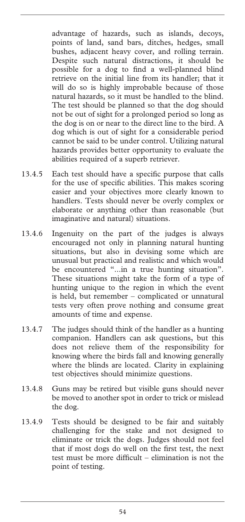advantage of hazards, such as islands, decoys, points of land, sand bars, ditches, hedges, small bushes, adjacent heavy cover, and rolling terrain. Despite such natural distractions, it should be possible for a dog to find a well-planned blind retrieve on the initial line from its handler; that it will do so is highly improbable because of those natural hazards, so it must be handled to the blind. The test should be planned so that the dog should not be out of sight for a prolonged period so long as the dog is on or near to the direct line to the bird. A dog which is out of sight for a considerable period cannot be said to be under control. Utilizing natural hazards provides better opportunity to evaluate the abilities required of a superb retriever.

- 13.4.5 Each test should have a specific purpose that calls for the use of specific abilities. This makes scoring easier and your objectives more clearly known to handlers. Tests should never be overly complex or elaborate or anything other than reasonable (but imaginative and natural) situations.
- 13.4.6 Ingenuity on the part of the judges is always encouraged not only in planning natural hunting situations, but also in devising some which are unusual but practical and realistic and which would be encountered "...in a true hunting situation". These situations might take the form of a type of hunting unique to the region in which the event is held, but remember – complicated or unnatural tests very often prove nothing and consume great amounts of time and expense.
- 13.4.7 The judges should think of the handler as a hunting companion. Handlers can ask questions, but this does not relieve them of the responsibility for knowing where the birds fall and knowing generally where the blinds are located. Clarity in explaining test objectives should minimize questions.
- 13.4.8 Guns may be retired but visible guns should never be moved to another spot in order to trick or mislead the dog.
- 13.4.9 Tests should be designed to be fair and suitably challenging for the stake and not designed to eliminate or trick the dogs. Judges should not feel that if most dogs do well on the first test, the next test must be more difficult – elimination is not the point of testing.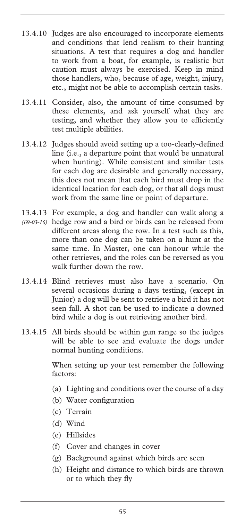- 13.4.10 Judges are also encouraged to incorporate elements and conditions that lend realism to their hunting situations. A test that requires a dog and handler to work from a boat, for example, is realistic but caution must always be exercised. Keep in mind those handlers, who, because of age, weight, injury, etc., might not be able to accomplish certain tasks.
- 13.4.11 Consider, also, the amount of time consumed by these elements, and ask yourself what they are testing, and whether they allow you to efficiently test multiple abilities.
- 13.4.12 Judges should avoid setting up a too-clearly-defined line (i.e., a departure point that would be unnatural when hunting). While consistent and similar tests for each dog are desirable and generally necessary, this does not mean that each bird must drop in the identical location for each dog, or that all dogs must work from the same line or point of departure.
- 13.4.13 For example, a dog and handler can walk along a
- hedge row and a bird or birds can be released from *(69-03-16)* different areas along the row. In a test such as this, more than one dog can be taken on a hunt at the same time. In Master, one can honour while the other retrieves, and the roles can be reversed as you walk further down the row.
- 13.4.14 Blind retrieves must also have a scenario. On several occasions during a days testing, (except in Junior) a dog will be sent to retrieve a bird it has not seen fall. A shot can be used to indicate a downed bird while a dog is out retrieving another bird.
- 13.4.15 All birds should be within gun range so the judges will be able to see and evaluate the dogs under normal hunting conditions.

When setting up your test remember the following factors:

- (a) Lighting and conditions over the course of a day
- (b) Water configuration
- (c) Terrain
- (d) Wind
- (e) Hillsides
- (f) Cover and changes in cover
- (g) Background against which birds are seen
- (h) Height and distance to which birds are thrown or to which they fly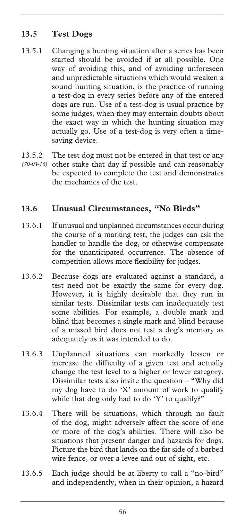# **13.5 Test Dogs**

- 13.5.1 Changing a hunting situation after a series has been started should be avoided if at all possible. One way of avoiding this, and of avoiding unforeseen and unpredictable situations which would weaken a sound hunting situation, is the practice of running a test-dog in every series before any of the entered dogs are run. Use of a test-dog is usual practice by some judges, when they may entertain doubts about the exact way in which the hunting situation may actually go. Use of a test-dog is very often a timesaving device.
- 13.5.2 The test dog must not be entered in that test or any (70-03-16) other stake that day if possible and can reasonably be expected to complete the test and demonstrates the mechanics of the test.

# **13.6 Unusual Circumstances, "No Birds"**

- 13.6.1 If unusual and unplanned circumstances occur during the course of a marking test, the judges can ask the handler to handle the dog, or otherwise compensate for the unanticipated occurrence. The absence of competition allows more flexibility for judges.
- 13.6.2 Because dogs are evaluated against a standard, a test need not be exactly the same for every dog. However, it is highly desirable that they run in similar tests. Dissimilar tests can inadequately test some abilities. For example, a double mark and blind that becomes a single mark and blind because of a missed bird does not test a dog's memory as adequately as it was intended to do.
- 13.6.3 Unplanned situations can markedly lessen or increase the difficulty of a given test and actually change the test level to a higher or lower category. Dissimilar tests also invite the question – "Why did my dog have to do 'X' amount of work to qualify while that dog only had to do 'Y' to qualify?"
- 13.6.4 There will be situations, which through no fault of the dog, might adversely affect the score of one or more of the dog's abilities. There will also be situations that present danger and hazards for dogs. Picture the bird that lands on the far side of a barbed wire fence, or over a levee and out of sight, etc.
- 13.6.5 Each judge should be at liberty to call a "no-bird" and independently, when in their opinion, a hazard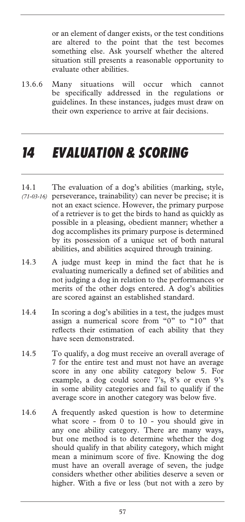or an element of danger exists, or the test conditions are altered to the point that the test becomes something else. Ask yourself whether the altered situation still presents a reasonable opportunity to evaluate other abilities.

13.6.6 Many situations will occur which cannot be specifically addressed in the regulations or guidelines. In these instances, judges must draw on their own experience to arrive at fair decisions.

# *14 EVALUATION & SCORING*

- 14.1 The evaluation of a dog's abilities (marking, style, perseverance, trainability) can never be precise; it is *(71-03-16)* not an exact science. However, the primary purpose of a retriever is to get the birds to hand as quickly as possible in a pleasing, obedient manner; whether a dog accomplishes its primary purpose is determined by its possession of a unique set of both natural abilities, and abilities acquired through training.
- 14.3 A judge must keep in mind the fact that he is evaluating numerically a defined set of abilities and not judging a dog in relation to the performances or merits of the other dogs entered. A dog's abilities are scored against an established standard.
- 14.4 In scoring a dog's abilities in a test, the judges must assign a numerical score from "0" to "10" that reflects their estimation of each ability that they have seen demonstrated.
- 14.5 To qualify, a dog must receive an overall average of 7 for the entire test and must not have an average score in any one ability category below 5. For example, a dog could score 7's, 8's or even 9's in some ability categories and fail to qualify if the average score in another category was below five.
- 14.6 A frequently asked question is how to determine what score - from 0 to 10 - you should give in any one ability category. There are many ways, but one method is to determine whether the dog should qualify in that ability category, which might mean a minimum score of five. Knowing the dog must have an overall average of seven, the judge considers whether other abilities deserve a seven or higher. With a five or less (but not with a zero by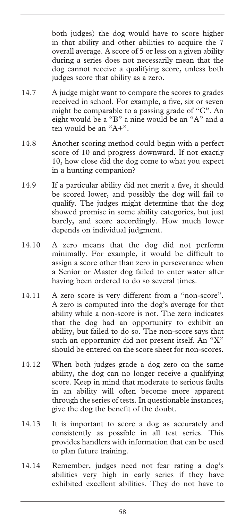both judges) the dog would have to score higher in that ability and other abilities to acquire the 7 overall average. A score of 5 or less on a given ability during a series does not necessarily mean that the dog cannot receive a qualifying score, unless both judges score that ability as a zero.

- 14.7 A judge might want to compare the scores to grades received in school. For example, a five, six or seven might be comparable to a passing grade of "C". An eight would be a "B" a nine would be an "A" and a ten would be an "A+".
- 14.8 Another scoring method could begin with a perfect score of 10 and progress downward. If not exactly 10, how close did the dog come to what you expect in a hunting companion?
- 14.9 If a particular ability did not merit a five, it should be scored lower, and possibly the dog will fail to qualify. The judges might determine that the dog showed promise in some ability categories, but just barely, and score accordingly. How much lower depends on individual judgment.
- 14.10 A zero means that the dog did not perform minimally. For example, it would be difficult to assign a score other than zero in perseverance when a Senior or Master dog failed to enter water after having been ordered to do so several times.
- 14.11 A zero score is very different from a "non-score". A zero is computed into the dog's average for that ability while a non-score is not. The zero indicates that the dog had an opportunity to exhibit an ability, but failed to do so. The non-score says that such an opportunity did not present itself. An "X" should be entered on the score sheet for non-scores.
- 14.12 When both judges grade a dog zero on the same ability, the dog can no longer receive a qualifying score. Keep in mind that moderate to serious faults in an ability will often become more apparent through the series of tests. In questionable instances, give the dog the benefit of the doubt.
- 14.13 It is important to score a dog as accurately and consistently as possible in all test series. This provides handlers with information that can be used to plan future training.
- 14.14 Remember, judges need not fear rating a dog's abilities very high in early series if they have exhibited excellent abilities. They do not have to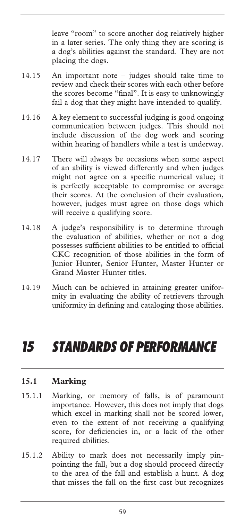leave "room" to score another dog relatively higher in a later series. The only thing they are scoring is a dog's abilities against the standard. They are not placing the dogs.

- 14.15 An important note judges should take time to review and check their scores with each other before the scores become "final". It is easy to unknowingly fail a dog that they might have intended to qualify.
- 14.16 A key element to successful judging is good ongoing communication between judges. This should not include discussion of the dog work and scoring within hearing of handlers while a test is underway.
- 14.17 There will always be occasions when some aspect of an ability is viewed differently and when judges might not agree on a specific numerical value; it is perfectly acceptable to compromise or average their scores. At the conclusion of their evaluation, however, judges must agree on those dogs which will receive a qualifying score.
- 14.18 A judge's responsibility is to determine through the evaluation of abilities, whether or not a dog possesses sufficient abilities to be entitled to official CKC recognition of those abilities in the form of Junior Hunter, Senior Hunter, Master Hunter or Grand Master Hunter titles.
- 14.19 Much can be achieved in attaining greater uniformity in evaluating the ability of retrievers through uniformity in defining and cataloging those abilities.

# *15 STANDARDS OF PERFORMANCE*

# **15.1 Marking**

- 15.1.1 Marking, or memory of falls, is of paramount importance. However, this does not imply that dogs which excel in marking shall not be scored lower, even to the extent of not receiving a qualifying score, for deficiencies in, or a lack of the other required abilities.
- 15.1.2 Ability to mark does not necessarily imply pinpointing the fall, but a dog should proceed directly to the area of the fall and establish a hunt. A dog that misses the fall on the first cast but recognizes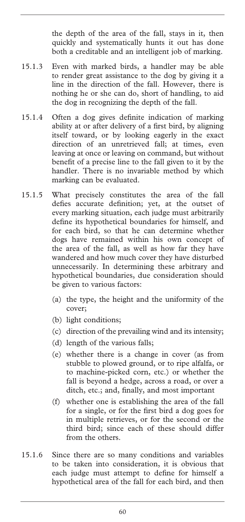the depth of the area of the fall, stays in it, then quickly and systematically hunts it out has done both a creditable and an intelligent job of marking.

- 15.1.3 Even with marked birds, a handler may be able to render great assistance to the dog by giving it a line in the direction of the fall. However, there is nothing he or she can do, short of handling, to aid the dog in recognizing the depth of the fall.
- 15.1.4 Often a dog gives definite indication of marking ability at or after delivery of a first bird, by aligning itself toward, or by looking eagerly in the exact direction of an unretrieved fall; at times, even leaving at once or leaving on command, but without benefit of a precise line to the fall given to it by the handler. There is no invariable method by which marking can be evaluated.
- 15.1.5 What precisely constitutes the area of the fall defies accurate definition; yet, at the outset of every marking situation, each judge must arbitrarily define its hypothetical boundaries for himself, and for each bird, so that he can determine whether dogs have remained within his own concept of the area of the fall, as well as how far they have wandered and how much cover they have disturbed unnecessarily. In determining these arbitrary and hypothetical boundaries, due consideration should be given to various factors:
	- (a) the type, the height and the uniformity of the cover;
	- (b) light conditions;
	- (c) direction of the prevailing wind and its intensity;
	- (d) length of the various falls;
	- (e) whether there is a change in cover (as from stubble to plowed ground, or to ripe alfalfa, or to machine-picked corn, etc.) or whether the fall is beyond a hedge, across a road, or over a ditch, etc.; and, finally, and most important
	- (f) whether one is establishing the area of the fall for a single, or for the first bird a dog goes for in multiple retrieves, or for the second or the third bird; since each of these should differ from the others.
- 15.1.6 Since there are so many conditions and variables to be taken into consideration, it is obvious that each judge must attempt to define for himself a hypothetical area of the fall for each bird, and then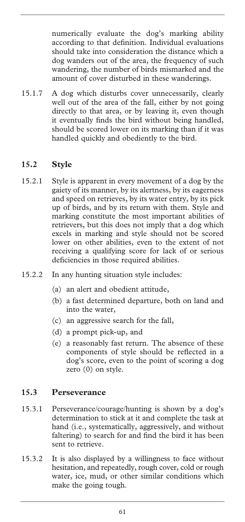numerically evaluate the dog's marking ability according to that definition. Individual evaluations should take into consideration the distance which a dog wanders out of the area, the frequency of such wandering, the number of birds mismarked and the amount of cover disturbed in these wanderings.

15.1.7 A dog which disturbs cover unnecessarily, clearly well out of the area of the fall, either by not going directly to that area, or by leaving it, even though it eventually finds the bird without being handled, should be scored lower on its marking than if it was handled quickly and obediently to the bird.

# **15.2 Style**

- 15.2.1 Style is apparent in every movement of a dog by the gaiety of its manner, by its alertness, by its eagerness and speed on retrieves, by its water entry, by its pick up of birds, and by its return with them. Style and marking constitute the most important abilities of retrievers, but this does not imply that a dog which excels in marking and style should not be scored lower on other abilities, even to the extent of not receiving a qualifying score for lack of or serious deficiencies in those required abilities.
- 15.2.2 In any hunting situation style includes:
	- (a) an alert and obedient attitude,
	- (b) a fast determined departure, both on land and into the water,
	- (c) an aggressive search for the fall,
	- (d) a prompt pick-up, and
	- (e) a reasonably fast return. The absence of these components of style should be reflected in a dog's score, even to the point of scoring a dog zero (0) on style.

#### **15.3 Perseverance**

- 15.3.1 Perseverance/courage/hunting is shown by a dog's determination to stick at it and complete the task at hand (i.e., systematically, aggressively, and without faltering) to search for and find the bird it has been sent to retrieve.
- 15.3.2 It is also displayed by a willingness to face without hesitation, and repeatedly, rough cover, cold or rough water, ice, mud, or other similar conditions which make the going tough.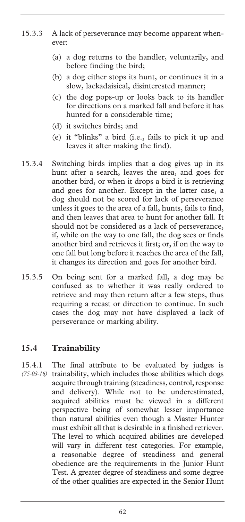- 15.3.3 A lack of perseverance may become apparent whenever:
	- (a) a dog returns to the handler, voluntarily, and before finding the bird;
	- (b) a dog either stops its hunt, or continues it in a slow, lackadaisical, disinterested manner;
	- (c) the dog pops-up or looks back to its handler for directions on a marked fall and before it has hunted for a considerable time;
	- (d) it switches birds; and
	- (e) it "blinks" a bird (i.e., fails to pick it up and leaves it after making the find).
- 15.3.4 Switching birds implies that a dog gives up in its hunt after a search, leaves the area, and goes for another bird, or when it drops a bird it is retrieving and goes for another. Except in the latter case, a dog should not be scored for lack of perseverance unless it goes to the area of a fall, hunts, fails to find, and then leaves that area to hunt for another fall. It should not be considered as a lack of perseverance, if, while on the way to one fall, the dog sees or finds another bird and retrieves it first; or, if on the way to one fall but long before it reaches the area of the fall, it changes its direction and goes for another bird.
- 15.3.5 On being sent for a marked fall, a dog may be confused as to whether it was really ordered to retrieve and may then return after a few steps, thus requiring a recast or direction to continue. In such cases the dog may not have displayed a lack of perseverance or marking ability.

# **15.4 Trainability**

15.4.1 The final attribute to be evaluated by judges is trainability, which includes those abilities which dogs acquire through training (steadiness, control, response and delivery). While not to be underestimated, acquired abilities must be viewed in a different perspective being of somewhat lesser importance than natural abilities even though a Master Hunter must exhibit all that is desirable in a finished retriever. The level to which acquired abilities are developed will vary in different test categories. For example, a reasonable degree of steadiness and general obedience are the requirements in the Junior Hunt Test. A greater degree of steadiness and some degree of the other qualities are expected in the Senior Hunt *(75-03-16)*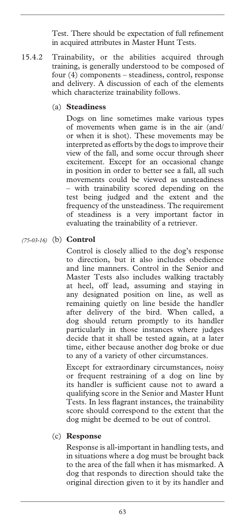Test. There should be expectation of full refinement in acquired attributes in Master Hunt Tests.

15.4.2 Trainability, or the abilities acquired through training, is generally understood to be composed of four (4) components – steadiness, control, response and delivery. A discussion of each of the elements which characterize trainability follows.

#### (a) **Steadiness**

 Dogs on line sometimes make various types of movements when game is in the air (and/ or when it is shot). These movements may be interpreted as efforts by the dogs to improve their view of the fall, and some occur through sheer excitement. Except for an occasional change in position in order to better see a fall, all such movements could be viewed as unsteadiness – with trainability scored depending on the test being judged and the extent and the frequency of the unsteadiness. The requirement of steadiness is a very important factor in evaluating the trainability of a retriever.

#### (b) **Control** *(75-03-16)*

 Control is closely allied to the dog's response to direction, but it also includes obedience and line manners. Control in the Senior and Master Tests also includes walking tractably at heel, off lead, assuming and staying in any designated position on line, as well as remaining quietly on line beside the handler after delivery of the bird. When called, a dog should return promptly to its handler particularly in those instances where judges decide that it shall be tested again, at a later time, either because another dog broke or due to any of a variety of other circumstances.

 Except for extraordinary circumstances, noisy or frequent restraining of a dog on line by its handler is sufficient cause not to award a qualifying score in the Senior and Master Hunt Tests. In less flagrant instances, the trainability score should correspond to the extent that the dog might be deemed to be out of control.

#### (c) **Response**

 Response is all-important in handling tests, and in situations where a dog must be brought back to the area of the fall when it has mismarked. A dog that responds to direction should take the original direction given to it by its handler and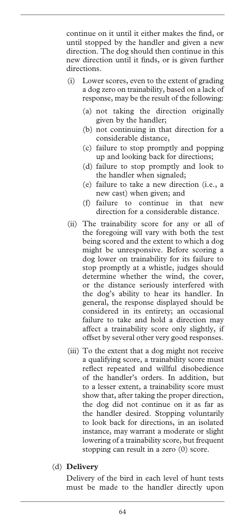continue on it until it either makes the find, or until stopped by the handler and given a new direction. The dog should then continue in this new direction until it finds, or is given further directions.

- (i) Lower scores, even to the extent of grading a dog zero on trainability, based on a lack of response, may be the result of the following:
	- (a) not taking the direction originally given by the handler;
	- (b) not continuing in that direction for a considerable distance,
	- (c) failure to stop promptly and popping up and looking back for directions;
	- (d) failure to stop promptly and look to the handler when signaled;
	- (e) failure to take a new direction (i.e., a new cast) when given; and
	- (f) failure to continue in that new direction for a considerable distance.
- (ii) The trainability score for any or all of the foregoing will vary with both the test being scored and the extent to which a dog might be unresponsive. Before scoring a dog lower on trainability for its failure to stop promptly at a whistle, judges should determine whether the wind, the cover, or the distance seriously interfered with the dog's ability to hear its handler. In general, the response displayed should be considered in its entirety; an occasional failure to take and hold a direction may affect a trainability score only slightly, if offset by several other very good responses.
- (iii) To the extent that a dog might not receive a qualifying score, a trainability score must reflect repeated and willful disobedience of the handler's orders. In addition, but to a lesser extent, a trainability score must show that, after taking the proper direction, the dog did not continue on it as far as the handler desired. Stopping voluntarily to look back for directions, in an isolated instance, may warrant a moderate or slight lowering of a trainability score, but frequent stopping can result in a zero (0) score.
- (d) **Delivery**

 Delivery of the bird in each level of hunt tests must be made to the handler directly upon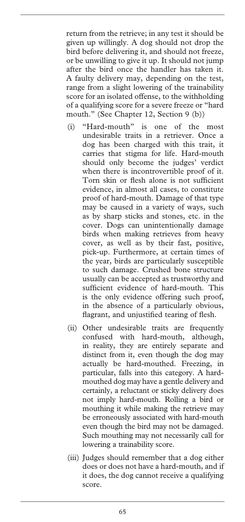return from the retrieve; in any test it should be given up willingly. A dog should not drop the bird before delivering it, and should not freeze, or be unwilling to give it up. It should not jump after the bird once the handler has taken it. A faulty delivery may, depending on the test, range from a slight lowering of the trainability score for an isolated offense, to the withholding of a qualifying score for a severe freeze or "hard mouth." (See Chapter 12, Section 9 (b))

- (i) "Hard-mouth" is one of the most undesirable traits in a retriever. Once a dog has been charged with this trait, it carries that stigma for life. Hard-mouth should only become the judges' verdict when there is incontrovertible proof of it. Torn skin or flesh alone is not sufficient evidence, in almost all cases, to constitute proof of hard-mouth. Damage of that type may be caused in a variety of ways, such as by sharp sticks and stones, etc. in the cover. Dogs can unintentionally damage birds when making retrieves from heavy cover, as well as by their fast, positive, pick-up. Furthermore, at certain times of the year, birds are particularly susceptible to such damage. Crushed bone structure usually can be accepted as trustworthy and sufficient evidence of hard-mouth. This is the only evidence offering such proof, in the absence of a particularly obvious, flagrant, and unjustified tearing of flesh.
- (ii) Other undesirable traits are frequently confused with hard-mouth, although, in reality, they are entirely separate and distinct from it, even though the dog may actually be hard-mouthed. Freezing, in particular, falls into this category. A hardmouthed dog may have a gentle delivery and certainly, a reluctant or sticky delivery does not imply hard-mouth. Rolling a bird or mouthing it while making the retrieve may be erroneously associated with hard-mouth even though the bird may not be damaged. Such mouthing may not necessarily call for lowering a trainability score.
- (iii) Judges should remember that a dog either does or does not have a hard-mouth, and if it does, the dog cannot receive a qualifying score.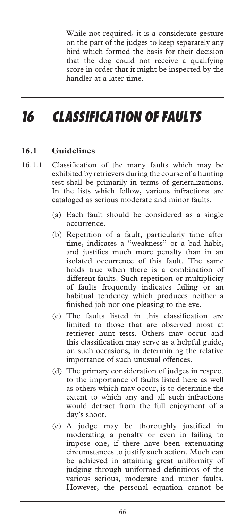While not required, it is a considerate gesture on the part of the judges to keep separately any bird which formed the basis for their decision that the dog could not receive a qualifying score in order that it might be inspected by the handler at a later time.

# *16 CLASSIFICATION OF FAULTS*

#### **16.1 Guidelines**

- 16.1.1 Classification of the many faults which may be exhibited by retrievers during the course of a hunting test shall be primarily in terms of generalizations. In the lists which follow, various infractions are cataloged as serious moderate and minor faults.
	- (a) Each fault should be considered as a single occurrence.
	- (b) Repetition of a fault, particularly time after time, indicates a "weakness" or a bad habit, and justifies much more penalty than in an isolated occurrence of this fault. The same holds true when there is a combination of different faults. Such repetition or multiplicity of faults frequently indicates failing or an habitual tendency which produces neither a finished job nor one pleasing to the eye.
	- (c) The faults listed in this classification are limited to those that are observed most at retriever hunt tests. Others may occur and this classification may serve as a helpful guide, on such occasions, in determining the relative importance of such unusual offences.
	- (d) The primary consideration of judges in respect to the importance of faults listed here as well as others which may occur, is to determine the extent to which any and all such infractions would detract from the full enjoyment of a day's shoot.
	- (e) A judge may be thoroughly justified in moderating a penalty or even in failing to impose one, if there have been extenuating circumstances to justify such action. Much can be achieved in attaining great uniformity of judging through uniformed definitions of the various serious, moderate and minor faults. However, the personal equation cannot be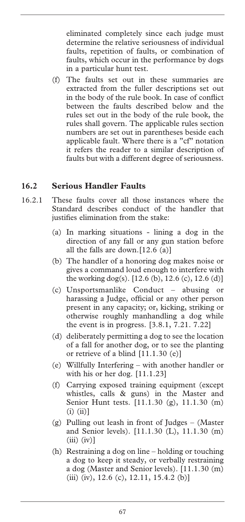eliminated completely since each judge must determine the relative seriousness of individual faults, repetition of faults, or combination of faults, which occur in the performance by dogs in a particular hunt test.

(f) The faults set out in these summaries are extracted from the fuller descriptions set out in the body of the rule book. In case of conflict between the faults described below and the rules set out in the body of the rule book, the rules shall govern. The applicable rules section numbers are set out in parentheses beside each applicable fault. Where there is a "cf" notation it refers the reader to a similar description of faults but with a different degree of seriousness.

# **16.2 Serious Handler Faults**

- 16.2.1 These faults cover all those instances where the Standard describes conduct of the handler that justifies elimination from the stake:
	- (a) In marking situations lining a dog in the direction of any fall or any gun station before all the falls are down.[12.6 (a)]
	- (b) The handler of a honoring dog makes noise or gives a command loud enough to interfere with the working dog(s).  $[12.6 (b), 12.6 (c), 12.6 (d)]$
	- (c) Unsportsmanlike Conduct abusing or harassing a Judge, official or any other person present in any capacity; or, kicking, striking or otherwise roughly manhandling a dog while the event is in progress. [3.8.1, 7.21. 7.22]
	- (d) deliberately permitting a dog to see the location of a fall for another dog, or to see the planting or retrieve of a blind [11.1.30 (e)]
	- (e) Willfully Interfering with another handler or with his or her dog. [11.1.23]
	- (f) Carrying exposed training equipment (except whistles, calls & guns) in the Master and Senior Hunt tests. [11.1.30 (g), 11.1.30 (m)  $(i)$   $(ii)$ ]
	- (g) Pulling out leash in front of Judges (Master and Senior levels). [11.1.30 (L), 11.1.30 (m)  $(iii)$   $(iv)$ ]
	- (h) Restraining a dog on line holding or touching a dog to keep it steady, or verbally restraining a dog (Master and Senior levels). [11.1.30 (m) (iii) (iv),  $12.6$  (c),  $12.11$ ,  $15.4.2$  (b)]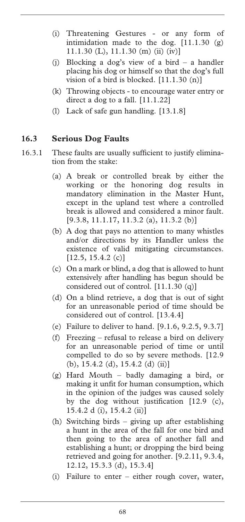- (i) Threatening Gestures or any form of intimidation made to the dog. [11.1.30 (g) 11.1.30 (L), 11.1.30 (m) (ii) (iv)]
- (j) Blocking a dog's view of a bird a handler placing his dog or himself so that the dog's full vision of a bird is blocked. [11.1.30 (n)]
- (k) Throwing objects to encourage water entry or direct a dog to a fall. [11.1.22]
- (l) Lack of safe gun handling. [13.1.8]

#### **16.3 Serious Dog Faults**

- 16.3.1 These faults are usually sufficient to justify elimination from the stake:
	- (a) A break or controlled break by either the working or the honoring dog results in mandatory elimination in the Master Hunt, except in the upland test where a controlled break is allowed and considered a minor fault. [9.3.8, 11.1.17, 11.3.2 (a), 11.3.2 (b)]
	- (b) A dog that pays no attention to many whistles and/or directions by its Handler unless the existence of valid mitigating circumstances.  $[12.5, 15.4.2(c)]$
	- (c) On a mark or blind, a dog that is allowed to hunt extensively after handling has begun should be considered out of control. [11.1.30 (q)]
	- (d) On a blind retrieve, a dog that is out of sight for an unreasonable period of time should be considered out of control. [13.4.4]
	- (e) Failure to deliver to hand. [9.1.6, 9.2.5, 9.3.7]
	- (f) Freezing refusal to release a bird on delivery for an unreasonable period of time or until compelled to do so by severe methods. [12.9 (b), 15.4.2 (d), 15.4.2 (d) (ii)]
	- (g) Hard Mouth badly damaging a bird, or making it unfit for human consumption, which in the opinion of the judges was caused solely by the dog without justification [12.9 (c), 15.4.2 d (i), 15.4.2 (ii)]
	- (h) Switching birds giving up after establishing a hunt in the area of the fall for one bird and then going to the area of another fall and establishing a hunt; or dropping the bird being retrieved and going for another. [9.2.11, 9.3.4, 12.12, 15.3.3 (d), 15.3.4]
	- (i) Failure to enter either rough cover, water,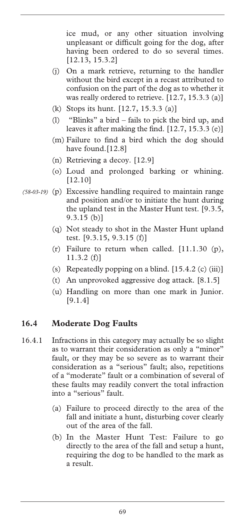ice mud, or any other situation involving unpleasant or difficult going for the dog, after having been ordered to do so several times. [12.13, 15.3.2]

- (j) On a mark retrieve, returning to the handler without the bird except in a recast attributed to confusion on the part of the dog as to whether it was really ordered to retrieve. [12.7, 15.3.3 (a)]
- (k) Stops its hunt. [12.7, 15.3.3 (a)]
- (l) "Blinks" a bird fails to pick the bird up, and leaves it after making the find. [12.7, 15.3.3 (e)]
- (m) Failure to find a bird which the dog should have found.<sup>[12.8]</sup>
- (n) Retrieving a decoy. [12.9]
- (o) Loud and prolonged barking or whining. [12.10]
- (p) Excessive handling required to maintain range *(58-03-19)* and position and/or to initiate the hunt during the upland test in the Master Hunt test. [9.3.5, 9.3.15 (b)]
	- (q) Not steady to shot in the Master Hunt upland test. [9.3.15, 9.3.15 (f)]
	- (r) Failure to return when called.  $[11.1.30 (p),$ 11.3.2 (f)]
	- (s) Repeatedly popping on a blind.  $[15.4.2 \text{ (c) (iii)}]$
	- (t) An unprovoked aggressive dog attack. [8.1.5]
	- (u) Handling on more than one mark in Junior. [9.1.4]

#### **16.4 Moderate Dog Faults**

- 16.4.1 Infractions in this category may actually be so slight as to warrant their consideration as only a "minor" fault, or they may be so severe as to warrant their consideration as a "serious" fault; also, repetitions of a "moderate" fault or a combination of several of these faults may readily convert the total infraction into a "serious" fault.
	- (a) Failure to proceed directly to the area of the fall and initiate a hunt, disturbing cover clearly out of the area of the fall.
	- (b) In the Master Hunt Test: Failure to go directly to the area of the fall and setup a hunt, requiring the dog to be handled to the mark as a result.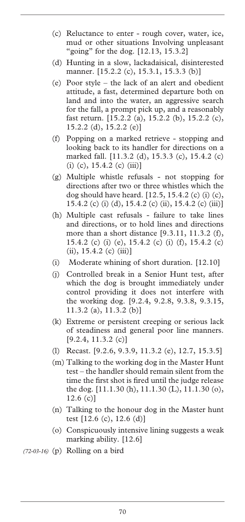- (c) Reluctance to enter rough cover, water, ice, mud or other situations Involving unpleasant "going" for the dog. [12.13, 15.3.2]
- (d) Hunting in a slow, lackadaisical, disinterested manner. [15.2.2 (c), 15.3.1, 15.3.3 (b)]
- (e) Poor style the lack of an alert and obedient attitude, a fast, determined departure both on land and into the water, an aggressive search for the fall, a prompt pick up, and a reasonably fast return. [15.2.2 (a), 15.2.2 (b), 15.2.2 (c), 15.2.2 (d), 15.2.2 (e)]
- (f) Popping on a marked retrieve stopping and looking back to its handler for directions on a marked fall. [11.3.2 (d), 15.3.3 (c), 15.4.2 (c)  $(i)$  (c), 15.4.2 (c) (iii)]
- (g) Multiple whistle refusals not stopping for directions after two or three whistles which the dog should have heard. [12.5, 15.4.2 (c) (i) (c), 15.4.2 (c) (i) (d), 15.4.2 (c) (ii), 15.4.2 (c) (iii)]
- (h) Multiple cast refusals failure to take lines and directions, or to hold lines and directions more than a short distance [9.3.11, 11.3.2 (f), 15.4.2 (c) (i) (e), 15.4.2 (c) (i) (f), 15.4.2 (c)  $(ii), 15.4.2 (c) (iii)$ ]
- (i) Moderate whining of short duration. [12.10]
- (j) Controlled break in a Senior Hunt test, after which the dog is brought immediately under control providing it does not interfere with the working dog. [9.2.4, 9.2.8, 9.3.8, 9.3.15, 11.3.2 (a), 11.3.2 (b)]
- (k) Extreme or persistent creeping or serious lack of steadiness and general poor line manners.  $[9.2.4, 11.3.2$  (c)]
- (l) Recast. [9.2.6, 9.3.9, 11.3.2 (e), 12.7, 15.3.5]
- (m) Talking to the working dog in the Master Hunt test – the handler should remain silent from the time the first shot is fired until the judge release the dog. [11.1.30 (h), 11.1.30 (L), 11.1.30 (o), 12.6 (c)]
- (n) Talking to the honour dog in the Master hunt test [12.6 (c), 12.6 (d)]
- (o) Conspicuously intensive lining suggests a weak marking ability. [12.6]
- *(72-03-16)* (p) Rolling on a bird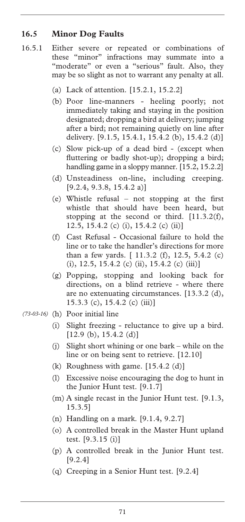#### **16.5 Minor Dog Faults**

- 16.5.1 Either severe or repeated or combinations of these "minor" infractions may summate into a "moderate" or even a "serious" fault. Also, they may be so slight as not to warrant any penalty at all.
	- (a) Lack of attention. [15.2.1, 15.2.2]
	- (b) Poor line-manners heeling poorly; not immediately taking and staying in the position designated; dropping a bird at delivery; jumping after a bird; not remaining quietly on line after delivery. [9.1.5, 15.4.1, 15.4.2 (b), 15.4.2 (d)]
	- (c) Slow pick-up of a dead bird (except when fluttering or badly shot-up); dropping a bird; handling game in a sloppy manner. [15.2, 15.2.2]
	- (d) Unsteadiness on-line, including creeping. [9.2.4, 9.3.8, 15.4.2 a)]
	- (e) Whistle refusal not stopping at the first whistle that should have been heard, but stopping at the second or third. [11.3.2(f), 12.5, 15.4.2 (c) (i), 15.4.2 (c) (ii)]
	- (f) Cast Refusal Occasional failure to hold the line or to take the handler's directions for more than a few yards. [ 11.3.2 (f), 12.5, 5.4.2 (c)  $(i)$ , 12.5, 15.4.2 (c)  $(ii)$ , 15.4.2 (c)  $(iii)$ ]
	- (g) Popping, stopping and looking back for directions, on a blind retrieve - where there are no extenuating circumstances. [13.3.2 (d), 15.3.3 (c), 15.4.2 (c) (iii)]
- (h) Poor initial line *(73-03-16)* 
	- (i) Slight freezing reluctance to give up a bird.  $[12.9 (b), 15.4.2 (d)]$
	- (j) Slight short whining or one bark while on the line or on being sent to retrieve. [12.10]
	- $(k)$  Roughness with game.  $[15.4.2 \text{ (d)}]$
	- (l) Excessive noise encouraging the dog to hunt in the Junior Hunt test. [9.1.7]
	- (m) A single recast in the Junior Hunt test. [9.1.3, 15.3.5]
	- (n) Handling on a mark. [9.1.4, 9.2.7]
	- (o) A controlled break in the Master Hunt upland test. [9.3.15 (i)]
	- (p) A controlled break in the Junior Hunt test. [9.2.4]
	- (q) Creeping in a Senior Hunt test. [9.2.4]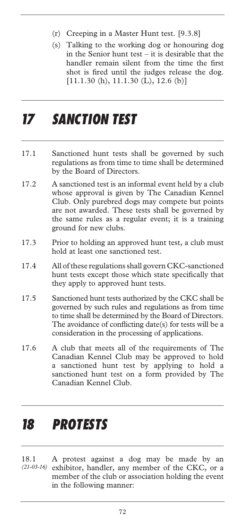- (r) Creeping in a Master Hunt test. [9.3.8]
- (s) Talking to the working dog or honouring dog in the Senior hunt test – it is desirable that the handler remain silent from the time the first shot is fired until the judges release the dog.  $[11.1.30(h), 11.1.30(L), 12.6(b)]$

### *17 SANCTION TEST*

- 17.1 Sanctioned hunt tests shall be governed by such regulations as from time to time shall be determined by the Board of Directors.
- 17.2 A sanctioned test is an informal event held by a club whose approval is given by The Canadian Kennel Club. Only purebred dogs may compete but points are not awarded. These tests shall be governed by the same rules as a regular event; it is a training ground for new clubs.
- 17.3 Prior to holding an approved hunt test, a club must hold at least one sanctioned test.
- 17.4 All of these regulations shall govern CKC-sanctioned hunt tests except those which state specifically that they apply to approved hunt tests.
- 17.5 Sanctioned hunt tests authorized by the CKC shall be governed by such rules and regulations as from time to time shall be determined by the Board of Directors. The avoidance of conflicting date(s) for tests will be a consideration in the processing of applications.
- 17.6 A club that meets all of the requirements of The Canadian Kennel Club may be approved to hold a sanctioned hunt test by applying to hold a sanctioned hunt test on a form provided by The Canadian Kennel Club.

### *18 PROTESTS*

18.1 A protest against a dog may be made by an exhibitor, handler, any member of the CKC, or a member of the club or association holding the event in the following manner: *(21-03-16)*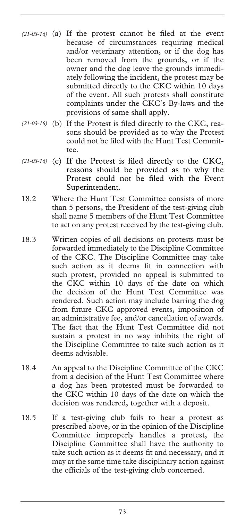- (a) If the protest cannot be filed at the event *(21-03-16)*  because of circumstances requiring medical and/or veterinary attention, or if the dog has been removed from the grounds, or if the owner and the dog leave the grounds immediately following the incident, the protest may be submitted directly to the CKC within 10 days of the event. All such protests shall constitute complaints under the CKC's By-laws and the provisions of same shall apply.
- (21-03-16) (b) If the Protest is filed directly to the CKC, reasons should be provided as to why the Protest could not be filed with the Hunt Test Committee.
- (21-03-16) (c) If the Protest is filed directly to the CKC, reasons should be provided as to why the Protest could not be filed with the Event Superintendent.
- 18.2 Where the Hunt Test Committee consists of more than 5 persons, the President of the test-giving club shall name 5 members of the Hunt Test Committee to act on any protest received by the test-giving club.
- 18.3 Written copies of all decisions on protests must be forwarded immediately to the Discipline Committee of the CKC. The Discipline Committee may take such action as it deems fit in connection with such protest, provided no appeal is submitted to the CKC within 10 days of the date on which the decision of the Hunt Test Committee was rendered. Such action may include barring the dog from future CKC approved events, imposition of an administrative fee, and/or cancellation of awards. The fact that the Hunt Test Committee did not sustain a protest in no way inhibits the right of the Discipline Committee to take such action as it deems advisable.
- 18.4 An appeal to the Discipline Committee of the CKC from a decision of the Hunt Test Committee where a dog has been protested must be forwarded to the CKC within 10 days of the date on which the decision was rendered, together with a deposit.
- 18.5 If a test-giving club fails to hear a protest as prescribed above, or in the opinion of the Discipline Committee improperly handles a protest, the Discipline Committee shall have the authority to take such action as it deems fit and necessary, and it may at the same time take disciplinary action against the officials of the test-giving club concerned.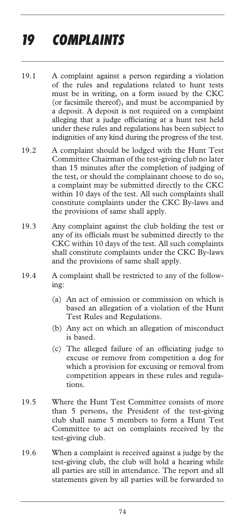# *19 COMPLAINTS*

- 19.1 A complaint against a person regarding a violation of the rules and regulations related to hunt tests must be in writing, on a form issued by the CKC (or facsimile thereof), and must be accompanied by a deposit. A deposit is not required on a complaint alleging that a judge officiating at a hunt test held under these rules and regulations has been subject to indignities of any kind during the progress of the test.
- 19.2 A complaint should be lodged with the Hunt Test Committee Chairman of the test-giving club no later than 15 minutes after the completion of judging of the test, or should the complainant choose to do so, a complaint may be submitted directly to the CKC within 10 days of the test. All such complaints shall constitute complaints under the CKC By-laws and the provisions of same shall apply.
- 19.3 Any complaint against the club holding the test or any of its officials must be submitted directly to the CKC within 10 days of the test. All such complaints shall constitute complaints under the CKC By-laws and the provisions of same shall apply.
- 19.4 A complaint shall be restricted to any of the following:
	- (a) An act of omission or commission on which is based an allegation of a violation of the Hunt Test Rules and Regulations.
	- (b) Any act on which an allegation of misconduct is based.
	- (c) The alleged failure of an officiating judge to excuse or remove from competition a dog for which a provision for excusing or removal from competition appears in these rules and regulations.
- 19.5 Where the Hunt Test Committee consists of more than 5 persons, the President of the test-giving club shall name 5 members to form a Hunt Test Committee to act on complaints received by the test-giving club.
- 19.6 When a complaint is received against a judge by the test-giving club, the club will hold a hearing while all parties are still in attendance. The report and all statements given by all parties will be forwarded to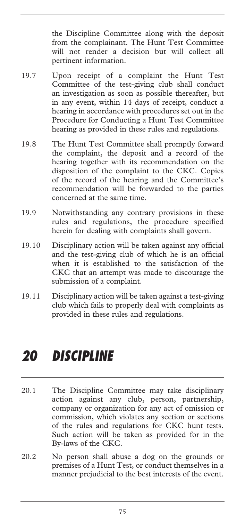the Discipline Committee along with the deposit from the complainant. The Hunt Test Committee will not render a decision but will collect all pertinent information.

- 19.7 Upon receipt of a complaint the Hunt Test Committee of the test-giving club shall conduct an investigation as soon as possible thereafter, but in any event, within 14 days of receipt, conduct a hearing in accordance with procedures set out in the Procedure for Conducting a Hunt Test Committee hearing as provided in these rules and regulations.
- 19.8 The Hunt Test Committee shall promptly forward the complaint, the deposit and a record of the hearing together with its recommendation on the disposition of the complaint to the CKC. Copies of the record of the hearing and the Committee's recommendation will be forwarded to the parties concerned at the same time.
- 19.9 Notwithstanding any contrary provisions in these rules and regulations, the procedure specified herein for dealing with complaints shall govern.
- 19.10 Disciplinary action will be taken against any official and the test-giving club of which he is an official when it is established to the satisfaction of the CKC that an attempt was made to discourage the submission of a complaint.
- 19.11 Disciplinary action will be taken against a test-giving club which fails to properly deal with complaints as provided in these rules and regulations.

## *20 DISCIPLINE*

- 20.1 The Discipline Committee may take disciplinary action against any club, person, partnership, company or organization for any act of omission or commission, which violates any section or sections of the rules and regulations for CKC hunt tests. Such action will be taken as provided for in the By-laws of the CKC.
- 20.2 No person shall abuse a dog on the grounds or premises of a Hunt Test, or conduct themselves in a manner prejudicial to the best interests of the event.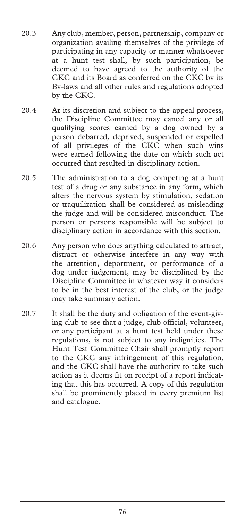- 20.3 Any club, member, person, partnership, company or organization availing themselves of the privilege of participating in any capacity or manner whatsoever at a hunt test shall, by such participation, be deemed to have agreed to the authority of the CKC and its Board as conferred on the CKC by its By-laws and all other rules and regulations adopted by the CKC.
- 20.4 At its discretion and subject to the appeal process, the Discipline Committee may cancel any or all qualifying scores earned by a dog owned by a person debarred, deprived, suspended or expelled of all privileges of the CKC when such wins were earned following the date on which such act occurred that resulted in disciplinary action.
- 20.5 The administration to a dog competing at a hunt test of a drug or any substance in any form, which alters the nervous system by stimulation, sedation or traquilization shall be considered as misleading the judge and will be considered misconduct. The person or persons responsible will be subject to disciplinary action in accordance with this section.
- 20.6 Any person who does anything calculated to attract, distract or otherwise interfere in any way with the attention, deportment, or performance of a dog under judgement, may be disciplined by the Discipline Committee in whatever way it considers to be in the best interest of the club, or the judge may take summary action.
- 20.7 It shall be the duty and obligation of the event-giving club to see that a judge, club official, volunteer, or any participant at a hunt test held under these regulations, is not subject to any indignities. The Hunt Test Committee Chair shall promptly report to the CKC any infringement of this regulation, and the CKC shall have the authority to take such action as it deems fit on receipt of a report indicating that this has occurred. A copy of this regulation shall be prominently placed in every premium list and catalogue.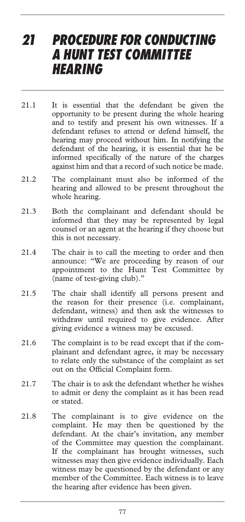### *21 PROCEDURE FOR CONDUCTING A HUNT TEST COMMITTEE HEARING*

- 21.1 It is essential that the defendant be given the opportunity to be present during the whole hearing and to testify and present his own witnesses. If a defendant refuses to attend or defend himself, the hearing may proceed without him. In notifying the defendant of the hearing, it is essential that he be informed specifically of the nature of the charges against him and that a record of such notice be made.
- 21.2 The complainant must also be informed of the hearing and allowed to be present throughout the whole hearing.
- 21.3 Both the complainant and defendant should be informed that they may be represented by legal counsel or an agent at the hearing if they choose but this is not necessary.
- 21.4 The chair is to call the meeting to order and then announce: "We are proceeding by reason of our appointment to the Hunt Test Committee by (name of test-giving club)."
- 21.5 The chair shall identify all persons present and the reason for their presence (i.e. complainant, defendant, witness) and then ask the witnesses to withdraw until required to give evidence. After giving evidence a witness may be excused.
- 21.6 The complaint is to be read except that if the complainant and defendant agree, it may be necessary to relate only the substance of the complaint as set out on the Official Complaint form.
- 21.7 The chair is to ask the defendant whether he wishes to admit or deny the complaint as it has been read or stated.
- 21.8 The complainant is to give evidence on the complaint. He may then be questioned by the defendant. At the chair's invitation, any member of the Committee may question the complainant. If the complainant has brought witnesses, such witnesses may then give evidence individually. Each witness may be questioned by the defendant or any member of the Committee. Each witness is to leave the hearing after evidence has been given.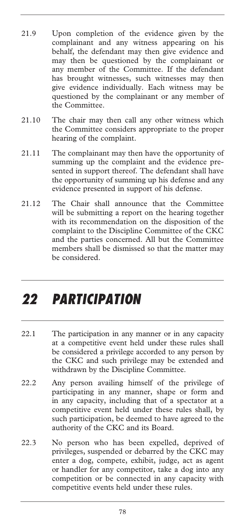- 21.9 Upon completion of the evidence given by the complainant and any witness appearing on his behalf, the defendant may then give evidence and may then be questioned by the complainant or any member of the Committee. If the defendant has brought witnesses, such witnesses may then give evidence individually. Each witness may be questioned by the complainant or any member of the Committee.
- 21.10 The chair may then call any other witness which the Committee considers appropriate to the proper hearing of the complaint.
- 21.11 The complainant may then have the opportunity of summing up the complaint and the evidence presented in support thereof. The defendant shall have the opportunity of summing up his defense and any evidence presented in support of his defense.
- 21.12 The Chair shall announce that the Committee will be submitting a report on the hearing together with its recommendation on the disposition of the complaint to the Discipline Committee of the CKC and the parties concerned. All but the Committee members shall be dismissed so that the matter may be considered.

# *22 PARTICIPATION*

- 22.1 The participation in any manner or in any capacity at a competitive event held under these rules shall be considered a privilege accorded to any person by the CKC and such privilege may be extended and withdrawn by the Discipline Committee.
- 22.2 Any person availing himself of the privilege of participating in any manner, shape or form and in any capacity, including that of a spectator at a competitive event held under these rules shall, by such participation, be deemed to have agreed to the authority of the CKC and its Board.
- 22.3 No person who has been expelled, deprived of privileges, suspended or debarred by the CKC may enter a dog, compete, exhibit, judge, act as agent or handler for any competitor, take a dog into any competition or be connected in any capacity with competitive events held under these rules.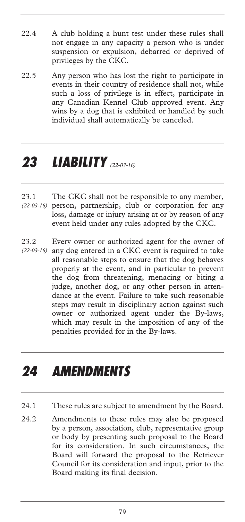- 22.4 A club holding a hunt test under these rules shall not engage in any capacity a person who is under suspension or expulsion, debarred or deprived of privileges by the CKC.
- 22.5 Any person who has lost the right to participate in events in their country of residence shall not, while such a loss of privilege is in effect, participate in any Canadian Kennel Club approved event. Any wins by a dog that is exhibited or handled by such individual shall automatically be canceled.

## *23 LIABILITY (22-03-16)*

- 23.1 The CKC shall not be responsible to any member, person, partnership, club or corporation for any loss, damage or injury arising at or by reason of any event held under any rules adopted by the CKC. *(22-03-16)*
- 23.2 Every owner or authorized agent for the owner of any dog entered in a CKC event is required to take all reasonable steps to ensure that the dog behaves properly at the event, and in particular to prevent the dog from threatening, menacing or biting a judge, another dog, or any other person in attendance at the event. Failure to take such reasonable steps may result in disciplinary action against such owner or authorized agent under the By-laws, which may result in the imposition of any of the penalties provided for in the By-laws. *(22-03-16)*

### *24 AMENDMENTS*

- 24.1 These rules are subject to amendment by the Board.
- 24.2 Amendments to these rules may also be proposed by a person, association, club, representative group or body by presenting such proposal to the Board for its consideration. In such circumstances, the Board will forward the proposal to the Retriever Council for its consideration and input, prior to the Board making its final decision.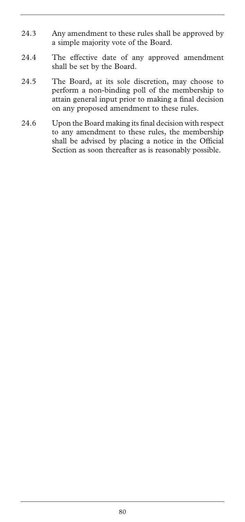- 24.3 Any amendment to these rules shall be approved by a simple majority vote of the Board.
- 24.4 The effective date of any approved amendment shall be set by the Board.
- 24.5 The Board, at its sole discretion, may choose to perform a non-binding poll of the membership to attain general input prior to making a final decision on any proposed amendment to these rules.
- 24.6 Upon the Board making its final decision with respect to any amendment to these rules, the membership shall be advised by placing a notice in the Official Section as soon thereafter as is reasonably possible.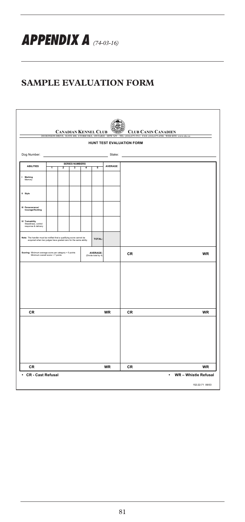*APPENDIX A (74-03-16)*

#### **SAMPLE EVALUATION FORM**

| 200 RONSON DRIVE, SUITE 400, ETOBICOKE, ONTARIO M9W<br>HUNT TEST EVALUATION FORM<br>Dog Number:<br>Stake:<br><b>SERIES NUMBERS</b><br><b>ABILITIES</b><br>AVERAGE<br>75<br>T<br>$\overline{2}$<br>-3<br>4<br>1 Marking<br>Memory<br>Il Style<br>III Perseverance/<br>Courage/Hunting<br>IV Trainability<br>Steadness, control<br>response & delivery<br>Note: The handler must be notified that a qualifying score cannot be<br>acquired when two judges have graded zero for the same ability.<br>TOTAL:<br>AVERAGE:<br>(Divide total by 4)<br>Scoring: Minimum average score per category = 5 points<br>Minimum overall score = 7 points<br>CR<br><b>CR</b><br><b>WR</b><br><b>CR</b><br><b>CR</b><br><b>WR</b><br><b>CR</b> |  |  |  |  |  | <b>CANADIAN KENNEL CLUB</b> |  | <b>CLUB CANIN CANADIEN</b><br>(416) 675-3511 FAX: (416) 675-6506 WEB SITE: www.ckc.ca |           |
|--------------------------------------------------------------------------------------------------------------------------------------------------------------------------------------------------------------------------------------------------------------------------------------------------------------------------------------------------------------------------------------------------------------------------------------------------------------------------------------------------------------------------------------------------------------------------------------------------------------------------------------------------------------------------------------------------------------------------------|--|--|--|--|--|-----------------------------|--|---------------------------------------------------------------------------------------|-----------|
|                                                                                                                                                                                                                                                                                                                                                                                                                                                                                                                                                                                                                                                                                                                                |  |  |  |  |  |                             |  |                                                                                       |           |
|                                                                                                                                                                                                                                                                                                                                                                                                                                                                                                                                                                                                                                                                                                                                |  |  |  |  |  |                             |  |                                                                                       |           |
|                                                                                                                                                                                                                                                                                                                                                                                                                                                                                                                                                                                                                                                                                                                                |  |  |  |  |  |                             |  |                                                                                       |           |
|                                                                                                                                                                                                                                                                                                                                                                                                                                                                                                                                                                                                                                                                                                                                |  |  |  |  |  |                             |  |                                                                                       |           |
|                                                                                                                                                                                                                                                                                                                                                                                                                                                                                                                                                                                                                                                                                                                                |  |  |  |  |  |                             |  |                                                                                       |           |
|                                                                                                                                                                                                                                                                                                                                                                                                                                                                                                                                                                                                                                                                                                                                |  |  |  |  |  |                             |  |                                                                                       |           |
|                                                                                                                                                                                                                                                                                                                                                                                                                                                                                                                                                                                                                                                                                                                                |  |  |  |  |  |                             |  |                                                                                       |           |
|                                                                                                                                                                                                                                                                                                                                                                                                                                                                                                                                                                                                                                                                                                                                |  |  |  |  |  |                             |  |                                                                                       |           |
|                                                                                                                                                                                                                                                                                                                                                                                                                                                                                                                                                                                                                                                                                                                                |  |  |  |  |  |                             |  |                                                                                       | WR        |
|                                                                                                                                                                                                                                                                                                                                                                                                                                                                                                                                                                                                                                                                                                                                |  |  |  |  |  |                             |  |                                                                                       |           |
|                                                                                                                                                                                                                                                                                                                                                                                                                                                                                                                                                                                                                                                                                                                                |  |  |  |  |  |                             |  |                                                                                       |           |
|                                                                                                                                                                                                                                                                                                                                                                                                                                                                                                                                                                                                                                                                                                                                |  |  |  |  |  |                             |  |                                                                                       |           |
|                                                                                                                                                                                                                                                                                                                                                                                                                                                                                                                                                                                                                                                                                                                                |  |  |  |  |  |                             |  |                                                                                       | <b>WR</b> |
|                                                                                                                                                                                                                                                                                                                                                                                                                                                                                                                                                                                                                                                                                                                                |  |  |  |  |  |                             |  |                                                                                       |           |
|                                                                                                                                                                                                                                                                                                                                                                                                                                                                                                                                                                                                                                                                                                                                |  |  |  |  |  |                             |  |                                                                                       |           |
|                                                                                                                                                                                                                                                                                                                                                                                                                                                                                                                                                                                                                                                                                                                                |  |  |  |  |  |                             |  |                                                                                       |           |
|                                                                                                                                                                                                                                                                                                                                                                                                                                                                                                                                                                                                                                                                                                                                |  |  |  |  |  |                             |  |                                                                                       |           |
|                                                                                                                                                                                                                                                                                                                                                                                                                                                                                                                                                                                                                                                                                                                                |  |  |  |  |  |                             |  |                                                                                       | <b>WR</b> |
| • WR - Whistle Refusal<br>• CR - Cast Refusal                                                                                                                                                                                                                                                                                                                                                                                                                                                                                                                                                                                                                                                                                  |  |  |  |  |  |                             |  |                                                                                       |           |